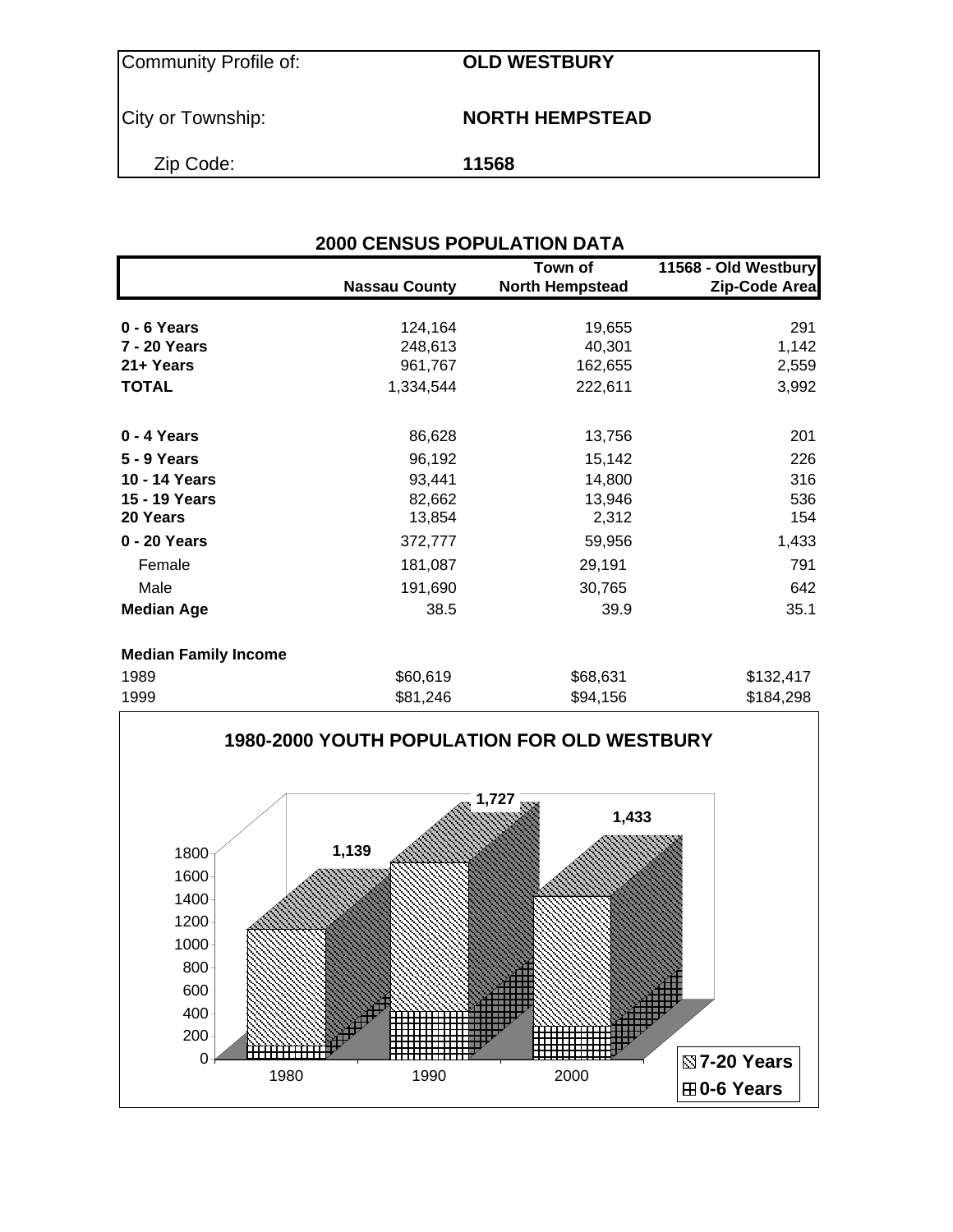$\overline{\text{CLD WESTBURY}}$ 

**City or Township: NORTH HEMPSTEAD** 

Zip Code: **11568**

|                             | <b>2000 CENSUS POPULATION DATA</b>                                                       |                                   |                                       |
|-----------------------------|------------------------------------------------------------------------------------------|-----------------------------------|---------------------------------------|
|                             | <b>Nassau County</b>                                                                     | Town of<br><b>North Hempstead</b> | 11568 - Old Westbury<br>Zip-Code Area |
| 0 - 6 Years                 | 124,164                                                                                  | 19,655                            | 291                                   |
| 7 - 20 Years                | 248,613                                                                                  | 40,301                            | 1,142                                 |
| 21+ Years                   | 961,767                                                                                  | 162,655                           | 2,559                                 |
| <b>TOTAL</b>                | 1,334,544                                                                                | 222,611                           | 3,992                                 |
| 0 - 4 Years                 | 86,628                                                                                   | 13,756                            | 201                                   |
| <b>5 - 9 Years</b>          | 96,192                                                                                   | 15,142                            | 226                                   |
| 10 - 14 Years               | 93,441                                                                                   | 14,800                            | 316                                   |
| 15 - 19 Years               | 82,662                                                                                   | 13,946                            | 536                                   |
| 20 Years                    | 13,854                                                                                   | 2,312                             | 154                                   |
| 0 - 20 Years                | 372,777                                                                                  | 59,956                            | 1,433                                 |
| Female                      | 181,087                                                                                  | 29,191                            | 791                                   |
| Male                        | 191,690                                                                                  | 30,765                            | 642                                   |
| <b>Median Age</b>           | 38.5                                                                                     | 39.9                              | 35.1                                  |
| <b>Median Family Income</b> |                                                                                          |                                   |                                       |
| 1989                        | \$60,619                                                                                 | \$68,631                          | \$132,417                             |
| 1000                        | $\begin{array}{c} \n\bullet \bullet \bullet \bullet \bullet \bullet \bullet \end{array}$ |                                   |                                       |

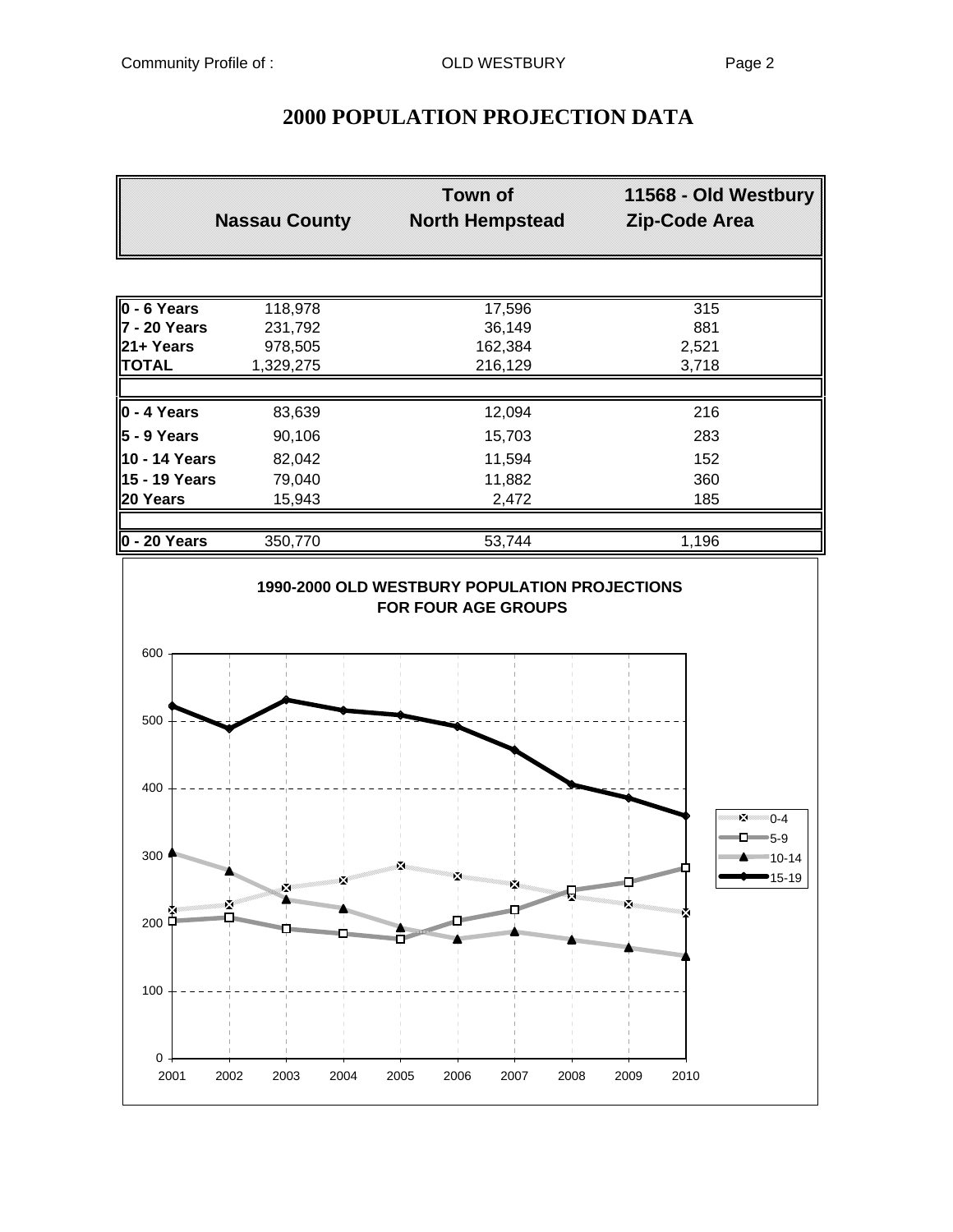### **2000 POPULATION PROJECTION DATA**

|                                                                                                                                                                                                                                                                                                                                                                                                                                                      | <b>Nassau County</b>                                                           | <b>Town of</b><br><b>North Hempstead</b> | 11568 - Old Westbury<br>Zip-Code Area                                                                                                                                                                                                                 |
|------------------------------------------------------------------------------------------------------------------------------------------------------------------------------------------------------------------------------------------------------------------------------------------------------------------------------------------------------------------------------------------------------------------------------------------------------|--------------------------------------------------------------------------------|------------------------------------------|-------------------------------------------------------------------------------------------------------------------------------------------------------------------------------------------------------------------------------------------------------|
|                                                                                                                                                                                                                                                                                                                                                                                                                                                      |                                                                                |                                          |                                                                                                                                                                                                                                                       |
| $0 - 6$ Years                                                                                                                                                                                                                                                                                                                                                                                                                                        | 118,978                                                                        | 17,596                                   | 315                                                                                                                                                                                                                                                   |
| 7 - 20 Years                                                                                                                                                                                                                                                                                                                                                                                                                                         | 231,792                                                                        | 36,149                                   | 881                                                                                                                                                                                                                                                   |
| 21+ Years                                                                                                                                                                                                                                                                                                                                                                                                                                            | 978,505                                                                        | 162,384                                  | 2,521                                                                                                                                                                                                                                                 |
| <b>TOTAL</b>                                                                                                                                                                                                                                                                                                                                                                                                                                         | 1,329,275                                                                      | 216,129                                  | 3,718                                                                                                                                                                                                                                                 |
| $0 - 4$ Years                                                                                                                                                                                                                                                                                                                                                                                                                                        | 83,639                                                                         | 12,094                                   | 216                                                                                                                                                                                                                                                   |
| $5 - 9$ Years                                                                                                                                                                                                                                                                                                                                                                                                                                        | 90,106                                                                         | 15,703                                   | 283                                                                                                                                                                                                                                                   |
| 10 - 14 Years                                                                                                                                                                                                                                                                                                                                                                                                                                        | 82,042                                                                         | 11,594                                   | 152                                                                                                                                                                                                                                                   |
| 15 - 19 Years                                                                                                                                                                                                                                                                                                                                                                                                                                        | 79,040                                                                         | 11,882                                   | 360                                                                                                                                                                                                                                                   |
| 20 Years                                                                                                                                                                                                                                                                                                                                                                                                                                             | 15,943                                                                         | 2,472                                    | 185                                                                                                                                                                                                                                                   |
| $0 - 20$ Years                                                                                                                                                                                                                                                                                                                                                                                                                                       | 350,770                                                                        | 53,744                                   | 1,196                                                                                                                                                                                                                                                 |
| 600                                                                                                                                                                                                                                                                                                                                                                                                                                                  |                                                                                |                                          |                                                                                                                                                                                                                                                       |
| 500                                                                                                                                                                                                                                                                                                                                                                                                                                                  |                                                                                |                                          |                                                                                                                                                                                                                                                       |
| 400                                                                                                                                                                                                                                                                                                                                                                                                                                                  |                                                                                |                                          |                                                                                                                                                                                                                                                       |
| 300 <sub>1</sub><br>$\begin{bmatrix} \mathbf{1} & \mathbf{1} & \mathbf{1} & \mathbf{1} & \mathbf{1} & \mathbf{1} & \mathbf{1} & \mathbf{1} & \mathbf{1} & \mathbf{1} & \mathbf{1} & \mathbf{1} & \mathbf{1} & \mathbf{1} & \mathbf{1} & \mathbf{1} & \mathbf{1} & \mathbf{1} & \mathbf{1} & \mathbf{1} & \mathbf{1} & \mathbf{1} & \mathbf{1} & \mathbf{1} & \mathbf{1} & \mathbf{1} & \mathbf{1} & \mathbf{1} & \mathbf{1} & \mathbf{1} & \mathbf{$ |                                                                                | 摩                                        | $2^{\frac{1}{2}}$ 0-4<br>$\Box$ 5-9<br>--------- <del>------------</del> 10-14<br>15-19                                                                                                                                                               |
|                                                                                                                                                                                                                                                                                                                                                                                                                                                      | No Carolina (no Carolina)<br>×.<br><b>Management of the Contract Of T</b><br>× |                                          |                                                                                                                                                                                                                                                       |
| 200                                                                                                                                                                                                                                                                                                                                                                                                                                                  |                                                                                | <b>INGRADES AND REAL PROPERTY.</b>       |                                                                                                                                                                                                                                                       |
|                                                                                                                                                                                                                                                                                                                                                                                                                                                      |                                                                                |                                          | <sup>annamm</sup> m<br>mining the contract of the contract of the contract of the contract of the contract of the contract of the contract of the contract of the contract of the contract of the contract of the contract of the contract of the con |
| 100                                                                                                                                                                                                                                                                                                                                                                                                                                                  |                                                                                |                                          |                                                                                                                                                                                                                                                       |
| $\pmb{0}$                                                                                                                                                                                                                                                                                                                                                                                                                                            |                                                                                |                                          |                                                                                                                                                                                                                                                       |

2001 2002 2003 2004 2005 2006 2007 2008 2009 2010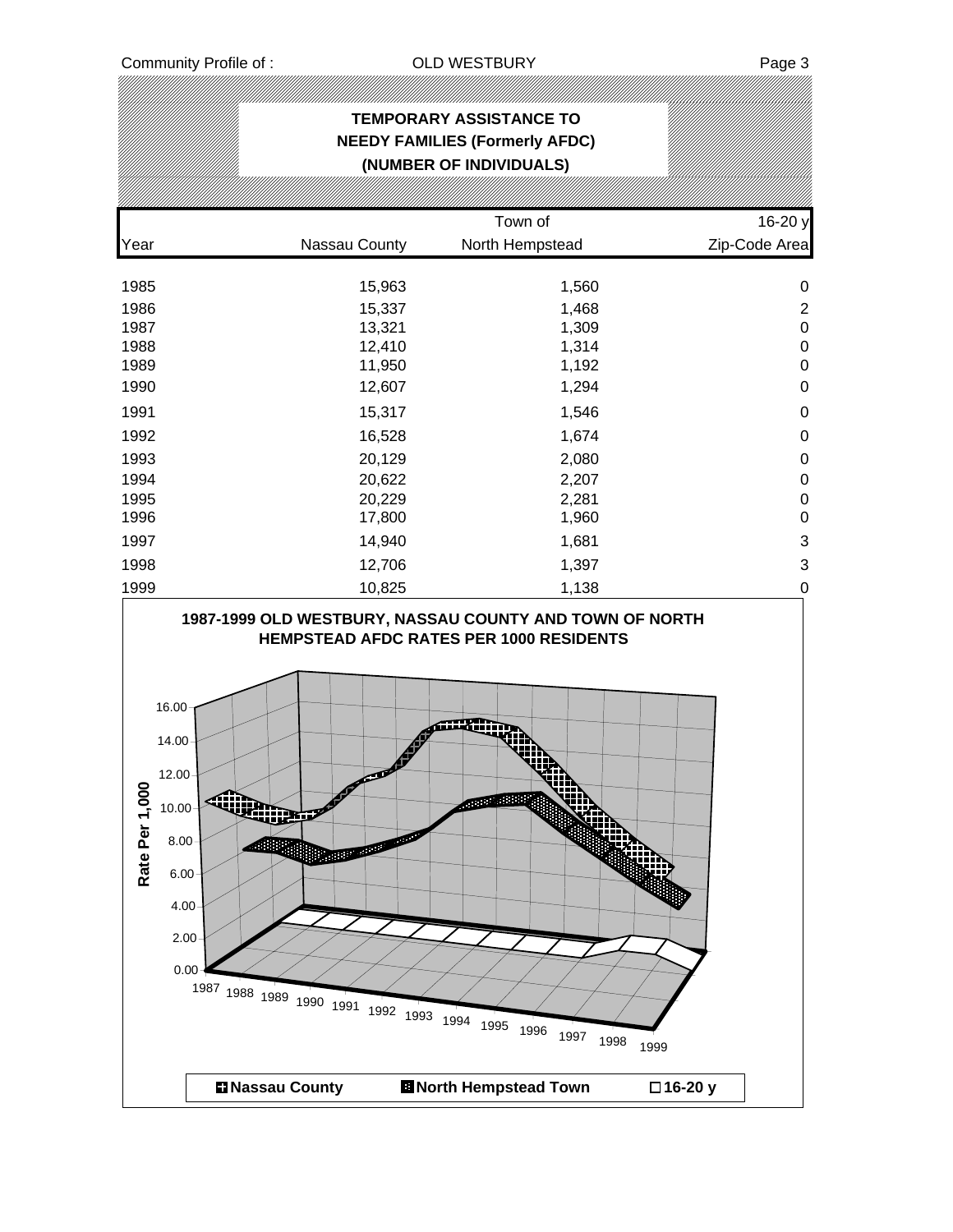### **TEMPORARY ASSISTANCE TO NEEDY FAMILIES (Formerly AFDC) (NUMBER OF INDIVIDUALS)** Town of 16-20 y Year Nassau County North Hempstead Zip-Code Area 1985 15,963 1,560 0 1986 15,337 1,468 2 1987 13,321 1,309 0 1988 12,410 1,314 0 1989 11,950 1,192 0 1990 12,607 1,294 0 اب 1,546 م 1,591 م 1,546 م 1,546 م 1,546 م 1,546 م 1,546 م 1,546 م 1,546 م 1,546 م 1,546 م 1,546 م 1,546 م 1, 1992 16,528 1,674 0 1993 20,129 2,080 0 1994 20,622 2,207 0 1995 20,229 2,281 0 1996 17,800 1,960 0 1997 14,940 1,681 3 1998 12,706 1,397 3 1999 10,825 1,138 0 **1987-1999 OLD WESTBURY, NASSAU COUNTY AND TOWN OF NORTH HEMPSTEAD AFDC RATES PER 1000 RESIDENTS** 16.00 iiiim 14.00 12.00 Rate Per 1,000 **Rate Per 1,000Reader** 10.00 8.00 6.00 4.00 2.00 0.00 <sup>1987</sup> <sup>1988</sup> <sup>1989</sup> <sup>1990</sup> <sup>1991</sup> <sup>1992</sup> <sup>1993</sup> <sup>1994</sup> <sup>1995</sup> <sup>1996</sup> <sup>1997</sup> <sup>1998</sup> <sup>1999</sup>

**Nassau County North Hempstead Town 16-20 y**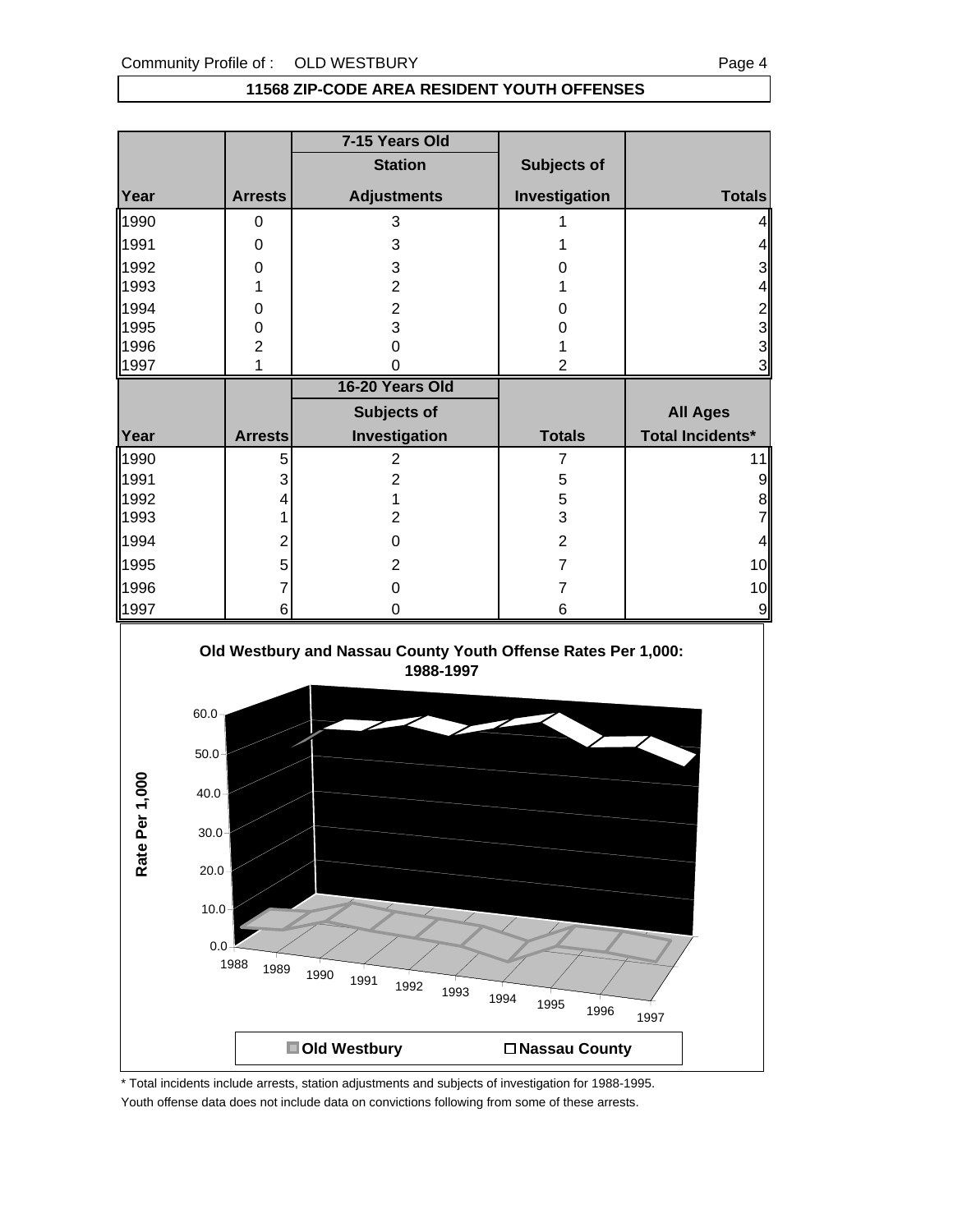#### **11568 ZIP-CODE AREA RESIDENT YOUTH OFFENSES**

|                                                               |                | 7-15 Years Old     |                |                         |
|---------------------------------------------------------------|----------------|--------------------|----------------|-------------------------|
|                                                               |                | <b>Station</b>     | Subjects of    |                         |
| Year                                                          | <b>Arrests</b> | <b>Adjustments</b> | Investigation  | <b>Totals</b>           |
| 1990                                                          | 0              | 3                  |                |                         |
| 1991                                                          | 0              | 3                  |                |                         |
| 1992                                                          | 0              | 3                  |                | 3                       |
| 1993                                                          | 1              | $\overline{2}$     |                | 4                       |
| 1994                                                          | 0              | $\overline{2}$     | Ω              | $\overline{c}$          |
| 1995                                                          | 0              | 3                  | 0              | 3                       |
| 1996                                                          | $\overline{2}$ | 0                  |                | 3                       |
| 1997                                                          | 1              |                    |                | 3                       |
|                                                               |                | 16-20 Years Old    |                |                         |
|                                                               |                | Subjects of        |                | <b>All Ages</b>         |
| Year                                                          | <b>Arrests</b> | Investigation      | <b>Totals</b>  | <b>Total Incidents*</b> |
| 1990                                                          | 5              | $\overline{2}$     | 7              | 11                      |
| 1991                                                          | 3              | 2                  | 5              | 9                       |
| 1992                                                          |                |                    | 5              | 8                       |
| 1993                                                          |                | 2                  | 3              |                         |
| 1994                                                          |                | 0                  | $\overline{2}$ | 4                       |
| 1995                                                          |                | $\overline{2}$     | 7              | 10                      |
| 1996                                                          |                | 0                  | 7              | 10                      |
| 1997                                                          | 6              | 0                  | 6              | 9                       |
| Old Westbury and Nassau County Youth Offense Rates Per 1,000: |                |                    |                |                         |





\* Total incidents include arrests, station adjustments and subjects of investigation for 1988-1995. Youth offense data does not include data on convictions following from some of these arrests.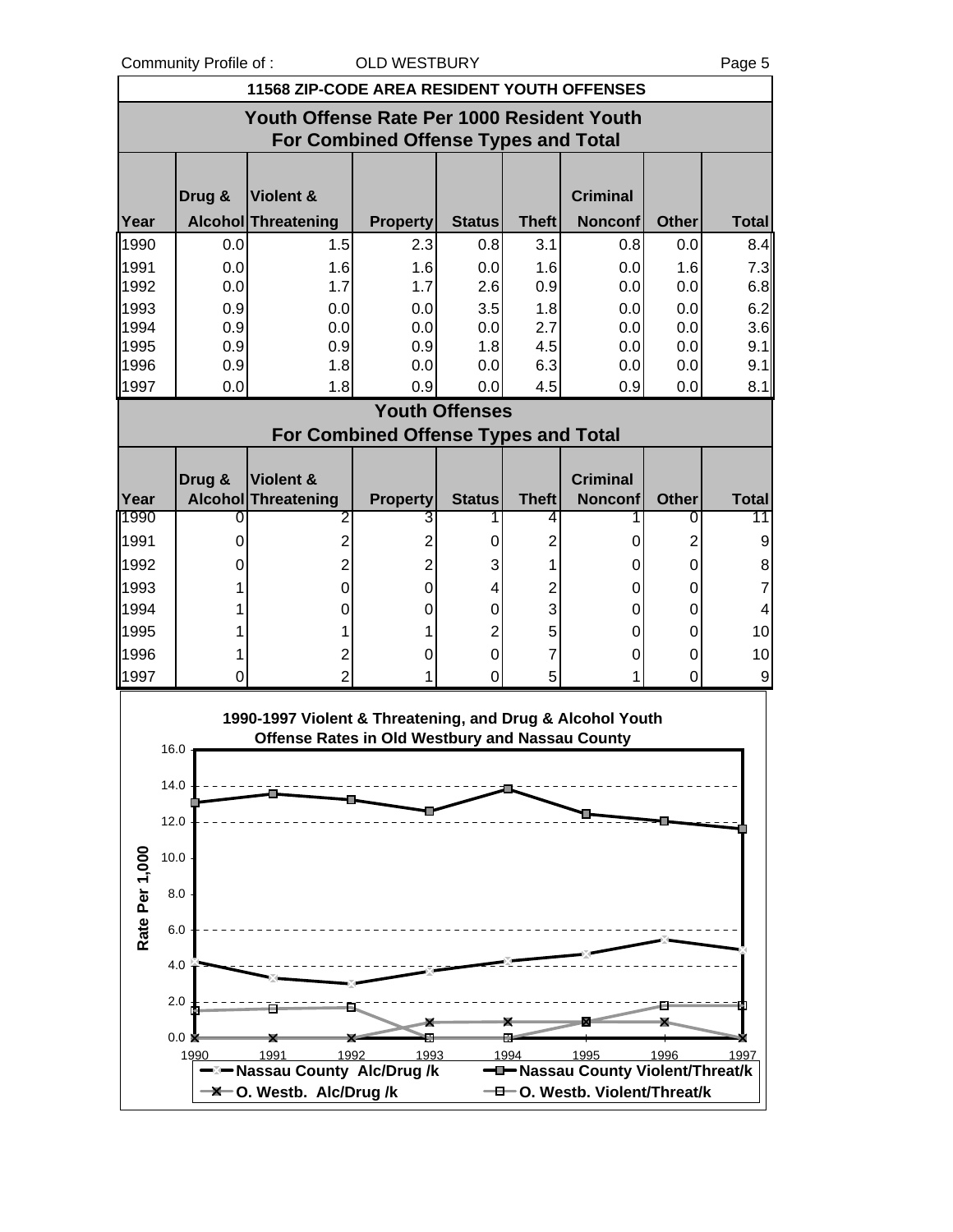Community Profile of : COLD WESTBURY COMMUNITY

|                |               | <b>11568 ZIP-CODE AREA RESIDENT YOUTH OFFENSES</b>        |                                             |                       |              |                                   |              |              |
|----------------|---------------|-----------------------------------------------------------|---------------------------------------------|-----------------------|--------------|-----------------------------------|--------------|--------------|
|                |               | Youth Offense Rate Per 1000 Resident Youth                |                                             |                       |              |                                   |              |              |
|                |               |                                                           | <b>For Combined Offense Types and Total</b> |                       |              |                                   |              |              |
|                |               |                                                           |                                             |                       |              |                                   |              |              |
|                | Drug &        | Violent &                                                 |                                             |                       |              | <b>Criminal</b>                   |              |              |
| Year           |               | Alcohol Threatening                                       | <b>Property</b>                             | <b>Status</b>         | <b>Theft</b> | <b>Nonconf</b>                    | <b>Other</b> | <b>Total</b> |
| 1990           | 0.0           | 1.5                                                       | 2.3                                         | 0.8                   | 3.1          | 0.8                               | 0.0          | 8.4          |
| 1991           | 0.0           | 1.6                                                       | 1.6                                         | 0.0                   | 1.6          | 0.0                               | 1.6          | 7.3          |
| 1992           | 0.0           | 1.7                                                       | 1.7                                         | 2.6                   | 0.9          | 0.0                               | 0.0          | 6.8          |
| 1993<br>1994   | 0.9<br>0.9    | 0.0<br>0.0                                                | 0.0<br>0.0                                  | 3.5<br>0.0            | 1.8<br>2.7   | 0.0<br>0.0                        | 0.0<br>0.0   | 6.2<br>3.6   |
| 1995           | 0.9           | 0.9                                                       | 0.9                                         | 1.8                   | 4.5          | 0.0                               | 0.0          | 9.1          |
| 1996           | 0.9           | 1.8                                                       | 0.0                                         | 0.0                   | 6.3          | 0.0                               | 0.0          | 9.1          |
| 1997           | 0.0           | 1.8                                                       | 0.9                                         | 0.0                   | 4.5          | 0.9                               | 0.0          | 8.1          |
|                |               |                                                           |                                             | <b>Youth Offenses</b> |              |                                   |              |              |
|                |               |                                                           | <b>For Combined Offense Types and Total</b> |                       |              |                                   |              |              |
|                |               |                                                           |                                             |                       |              |                                   |              |              |
| Year           | Drug &        | Violent &<br>Alcohol Threatening                          | <b>Property</b>                             | <b>Status</b>         | <b>Theft</b> | <b>Criminal</b><br><b>Nonconf</b> | <b>Other</b> | <b>Total</b> |
| 1990           | O             | 2                                                         | 3                                           | 1                     | 4            |                                   | 0            | 11           |
| 1991           | 0             | $\overline{2}$                                            | $\overline{2}$                              | 0                     | 2            | 0                                 | 2            | 9            |
| 1992           | 0             | $\overline{2}$                                            | $\overline{2}$                              | 3                     | 1            | 0                                 | 0            | 8            |
| 1993           |               | $\Omega$                                                  | $\Omega$                                    | 4                     | 2            | 0                                 | 0            | 7            |
| 1994           |               | 0                                                         | 0                                           | $\Omega$              | 3            | 0                                 | 0            | 4            |
| 1995           |               |                                                           |                                             | 2                     | 5            | 0                                 | 0            | 10           |
| 1996           |               | 2                                                         | 0                                           | 0                     | 7            | 0                                 | 0            | 10           |
| 1997           | 0             | $\overline{2}$                                            |                                             | 0                     | 5            |                                   | 0            | 9            |
|                |               | 1990-1997 Violent & Threatening, and Drug & Alcohol Youth |                                             |                       |              |                                   |              |              |
|                |               | <b>Offense Rates in Old Westbury and Nassau County</b>    |                                             |                       |              |                                   |              |              |
|                | 16.0          |                                                           |                                             |                       |              |                                   |              |              |
|                | 14.0          |                                                           |                                             |                       |              |                                   |              |              |
|                | 12.0          |                                                           |                                             |                       |              |                                   |              |              |
|                |               |                                                           |                                             |                       |              |                                   |              |              |
|                | 10.0          |                                                           |                                             |                       |              |                                   |              |              |
| Rate Per 1,000 | 8.0           |                                                           |                                             |                       |              |                                   |              |              |
|                |               |                                                           |                                             |                       |              |                                   |              |              |
|                | 6.0           |                                                           |                                             |                       |              |                                   |              |              |
|                | 4.0           |                                                           |                                             |                       |              |                                   |              |              |
|                | 2.0           |                                                           |                                             |                       |              |                                   |              |              |
|                | 0.0 K         |                                                           |                                             |                       |              |                                   |              |              |
|                | 1990          | 1991<br>1992                                              | 1993                                        |                       | 1994         | 1995                              | 1996         | 1997         |
|                |               | <b>Nassau County Alc/Drug/k</b>                           |                                             |                       |              | -D-Nassau County Violent/Threat/k |              |              |
|                | $-\mathsf{X}$ | O. Westb. Alc/Drug /k                                     |                                             |                       |              | -0. Westb. Violent/Threat/k       |              |              |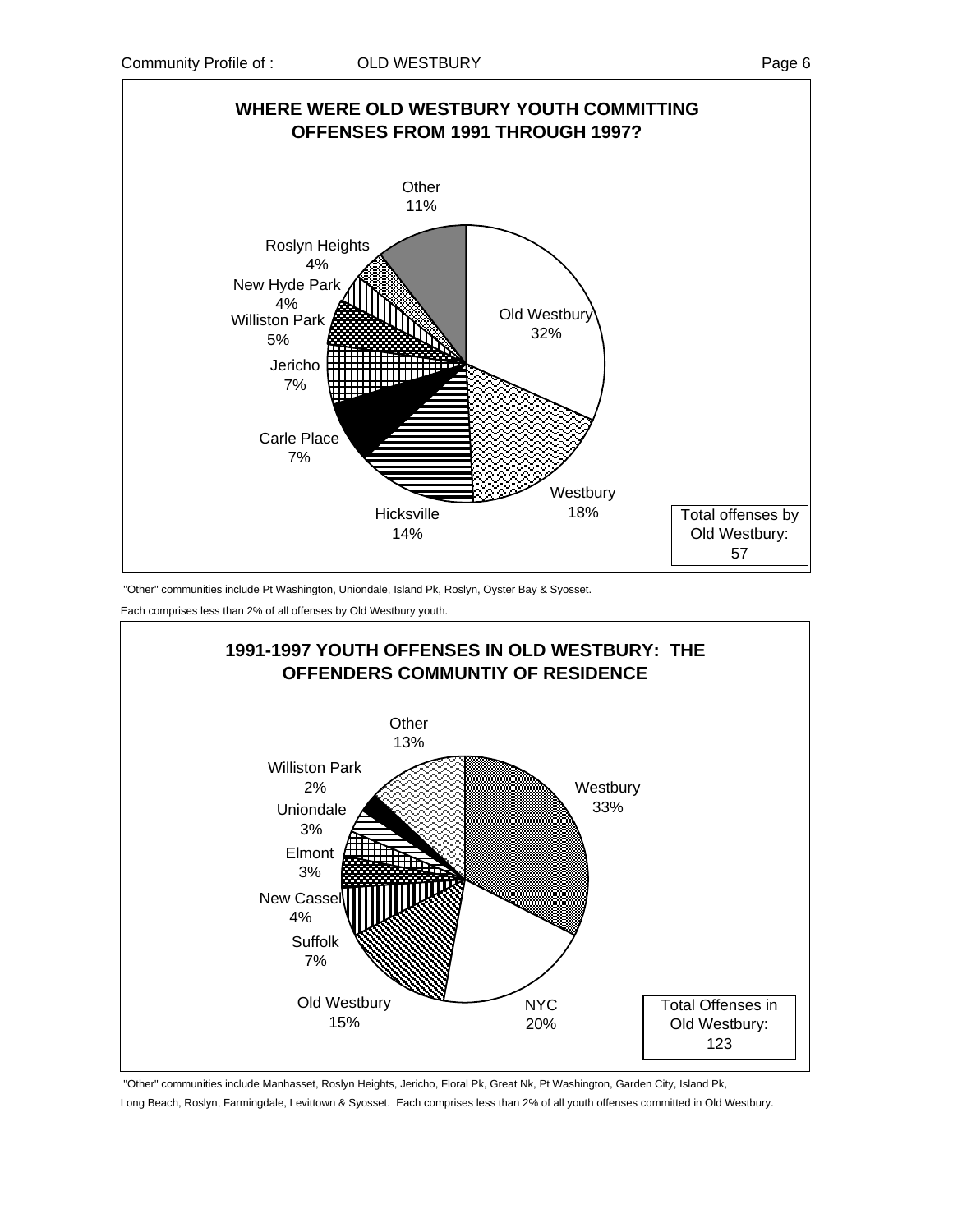

"Other" communities include Pt Washington, Uniondale, Island Pk, Roslyn, Oyster Bay & Syosset.

Each comprises less than 2% of all offenses by Old Westbury youth.



"Other" communities include Manhasset, Roslyn Heights, Jericho, Floral Pk, Great Nk, Pt Washington, Garden City, Island Pk,

Long Beach, Roslyn, Farmingdale, Levittown & Syosset. Each comprises less than 2% of all youth offenses committed in Old Westbury.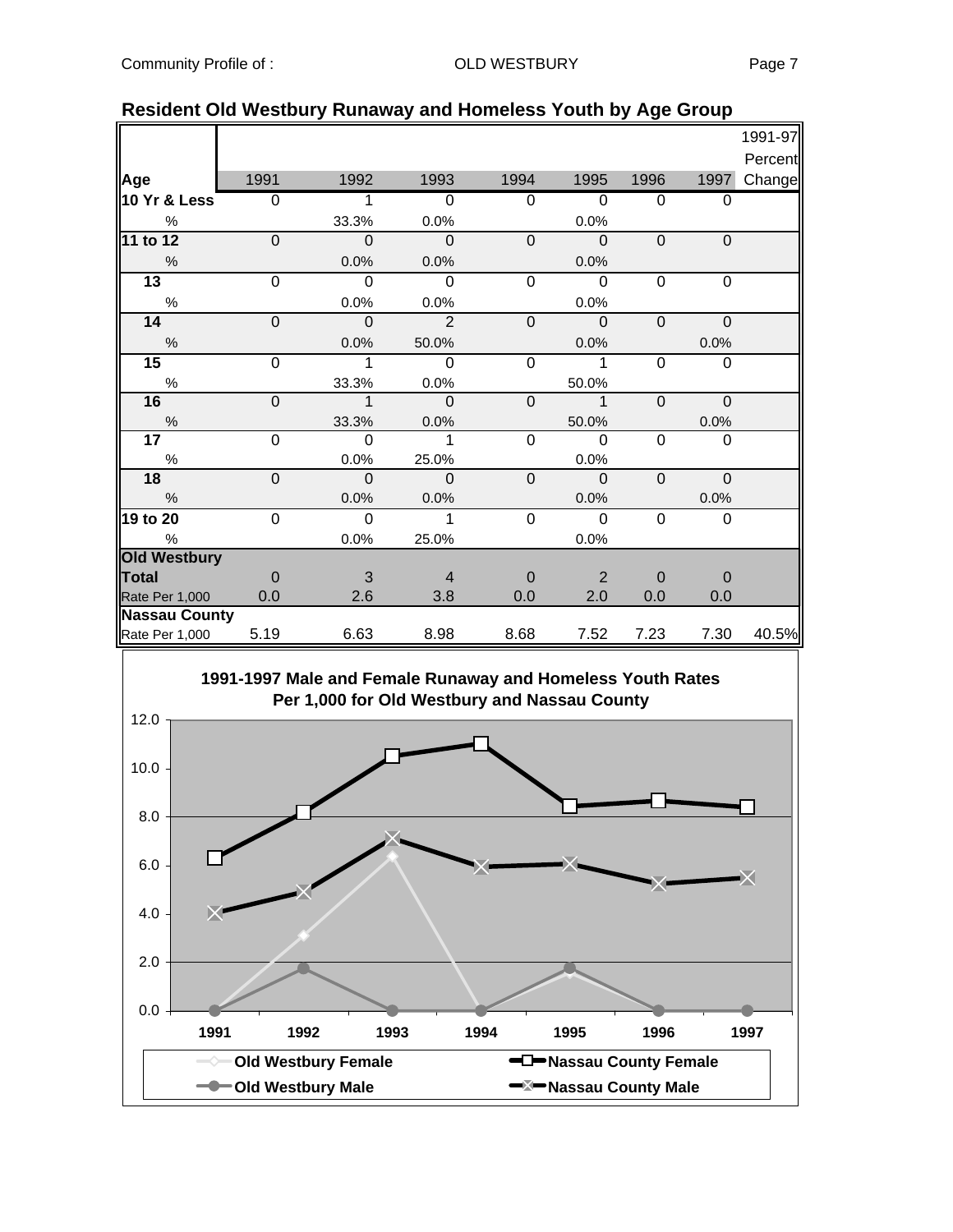|                      |                |                |                |                |                |                |                | 1991-97 |
|----------------------|----------------|----------------|----------------|----------------|----------------|----------------|----------------|---------|
|                      |                |                |                |                |                |                |                | Percent |
| Age                  | 1991           | 1992           | 1993           | 1994           | 1995           | 1996           | 1997           | Change  |
| 10 Yr & Less         | $\overline{0}$ | 1              | $\Omega$       | $\Omega$       | $\Omega$       | 0              | $\Omega$       |         |
| $\%$                 |                | 33.3%          | 0.0%           |                | 0.0%           |                |                |         |
| 11 to 12             | $\overline{0}$ | $\overline{0}$ | $\overline{0}$ | $\overline{0}$ | $\overline{0}$ | $\overline{0}$ | $\overline{0}$ |         |
| %                    |                | 0.0%           | 0.0%           |                | 0.0%           |                |                |         |
| $\overline{13}$      | $\Omega$       | $\overline{0}$ | 0              | $\mathbf 0$    | $\mathbf 0$    | $\mathbf 0$    | $\Omega$       |         |
| $\%$                 |                | 0.0%           | 0.0%           |                | 0.0%           |                |                |         |
| 14                   | $\mathbf 0$    | $\mathbf 0$    | $\overline{2}$ | $\mathbf 0$    | $\mathbf 0$    | $\mathbf 0$    | $\mathbf 0$    |         |
| $\frac{0}{6}$        |                | 0.0%           | 50.0%          |                | 0.0%           |                | 0.0%           |         |
| 15                   | $\overline{0}$ | 1              | $\Omega$       | $\overline{0}$ | 1              | 0              | $\mathbf 0$    |         |
| $\%$                 |                | 33.3%          | 0.0%           |                | 50.0%          |                |                |         |
| 16                   | $\mathbf 0$    | $\mathbf 1$    | $\mathbf 0$    | $\mathbf 0$    | $\mathbf{1}$   | $\mathbf 0$    | 0              |         |
| $\%$                 |                | 33.3%          | 0.0%           |                | 50.0%          |                | 0.0%           |         |
| 17                   | 0              | $\Omega$       | 1              | $\overline{0}$ | $\Omega$       | $\mathbf 0$    | $\Omega$       |         |
| $\%$                 |                | 0.0%           | 25.0%          |                | 0.0%           |                |                |         |
| 18                   | $\mathbf 0$    | $\mathbf 0$    | $\mathbf 0$    | $\mathbf 0$    | $\overline{0}$ | $\mathbf 0$    | $\mathbf 0$    |         |
| $\%$                 |                | 0.0%           | 0.0%           |                | 0.0%           |                | 0.0%           |         |
| 19 to 20             | 0              | $\Omega$       | 1              | 0              | $\Omega$       | 0              | $\Omega$       |         |
| $\%$                 |                | 0.0%           | 25.0%          |                | 0.0%           |                |                |         |
| <b>Old Westbury</b>  |                |                |                |                |                |                |                |         |
| <b>Total</b>         | $\Omega$       | 3              | $\overline{4}$ | $\Omega$       | 2              | $\overline{0}$ | $\overline{0}$ |         |
| Rate Per 1,000       | 0.0            | 2.6            | 3.8            | 0.0            | 2.0            | 0.0            | 0.0            |         |
| <b>Nassau County</b> |                |                |                |                |                |                |                |         |
| Rate Per 1,000       | 5.19           | 6.63           | 8.98           | 8.68           | 7.52           | 7.23           | 7.30           | 40.5%   |

#### **Resident Old Westbury Runaway and Homeless Youth by Age Group**

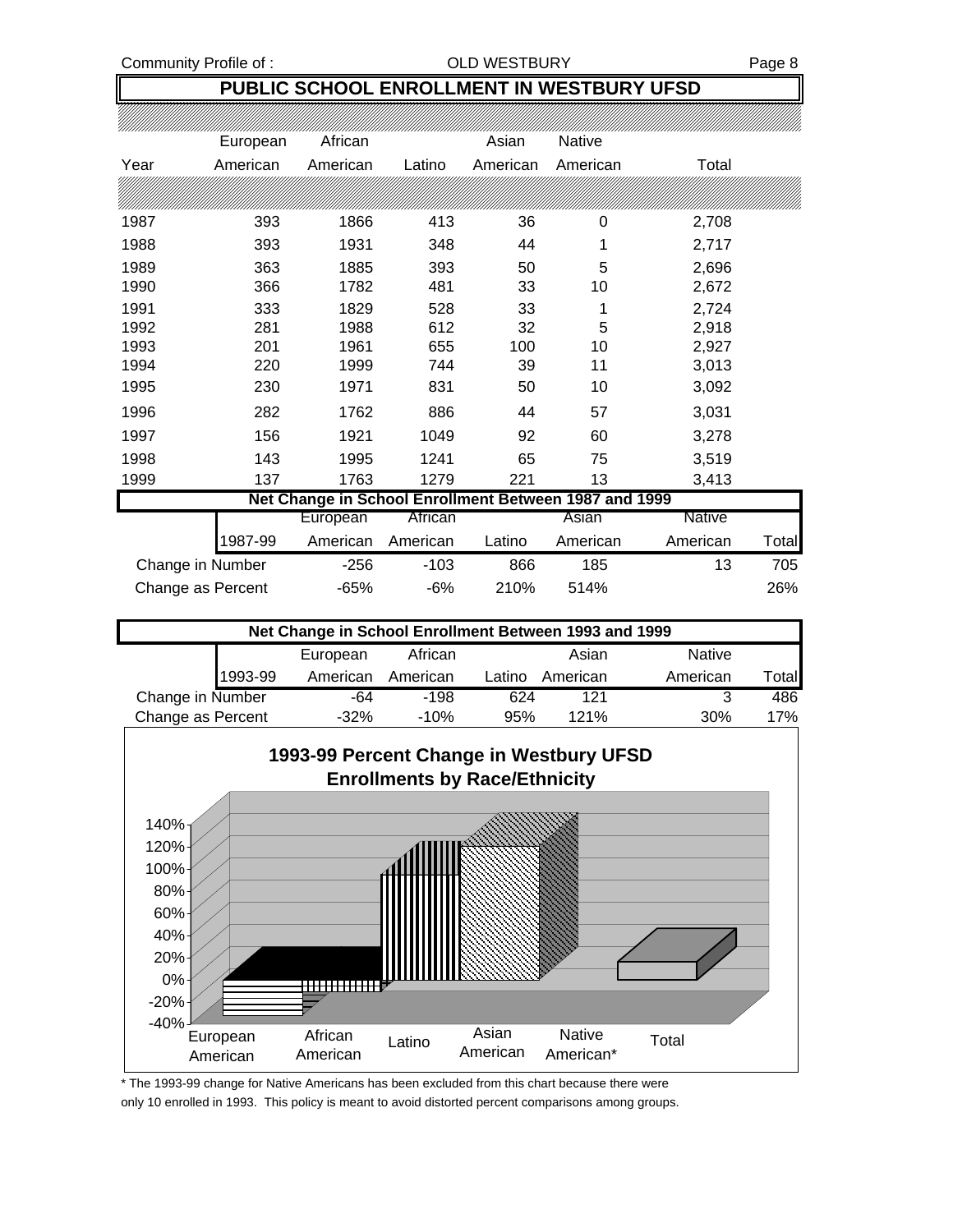#### **PUBLIC SCHOOL ENROLLMENT IN WESTBURY UFSD**

|                   | European | African                                               |          | Asian    | Native   |                   |
|-------------------|----------|-------------------------------------------------------|----------|----------|----------|-------------------|
| Year              | American | American                                              | Latino   | American | American | Total             |
|                   |          |                                                       |          |          |          |                   |
| 1987              | 393      | 1866                                                  | 413      | 36       | 0        | 2,708             |
| 1988              | 393      | 1931                                                  | 348      | 44       | 1        | 2,717             |
| 1989              | 363      | 1885                                                  | 393      | 50       | 5        | 2,696             |
| 1990              | 366      | 1782                                                  | 481      | 33       | 10       | 2,672             |
| 1991              | 333      | 1829                                                  | 528      | 33       | 1        | 2,724             |
| 1992              | 281      | 1988                                                  | 612      | 32       | 5        | 2,918             |
| 1993              | 201      | 1961                                                  | 655      | 100      | 10       | 2,927             |
| 1994              | 220      | 1999                                                  | 744      | 39       | 11       | 3,013             |
| 1995              | 230      | 1971                                                  | 831      | 50       | 10       | 3,092             |
| 1996              | 282      | 1762                                                  | 886      | 44       | 57       | 3,031             |
| 1997              | 156      | 1921                                                  | 1049     | 92       | 60       | 3,278             |
| 1998              | 143      | 1995                                                  | 1241     | 65       | 75       | 3,519             |
| 1999              | 137      | 1763                                                  | 1279     | 221      | 13       | 3,413             |
|                   |          | Net Change in School Enrollment Between 1987 and 1999 |          |          |          |                   |
|                   |          | European                                              | African  |          | Asian    | <b>Native</b>     |
|                   | 1987-99  | American                                              | American | Latino   | American | American<br>Total |
| Change in Number  |          | $-256$                                                | $-103$   | 866      | 185      | 13<br>705         |
| Change as Percent |          | $-65%$                                                | $-6%$    | 210%     | 514%     | 26%               |

| Net Change in School Enrollment Between 1993 and 1999 |          |          |        |          |               |        |  |  |  |
|-------------------------------------------------------|----------|----------|--------|----------|---------------|--------|--|--|--|
|                                                       | European | African  |        | Asian    | <b>Native</b> |        |  |  |  |
| 1993-99                                               | American | American | Latino | American | American      | ⊺otall |  |  |  |
| Change in Number                                      | -64      | $-198$   | 624    | 121      | າ             | 486    |  |  |  |
| Change as Percent                                     | $-32%$   | $-10%$   | 95%    | 121%     | 30%           | 17%    |  |  |  |



\* The 1993-99 change for Native Americans has been excluded from this chart because there were only 10 enrolled in 1993. This policy is meant to avoid distorted percent comparisons among groups.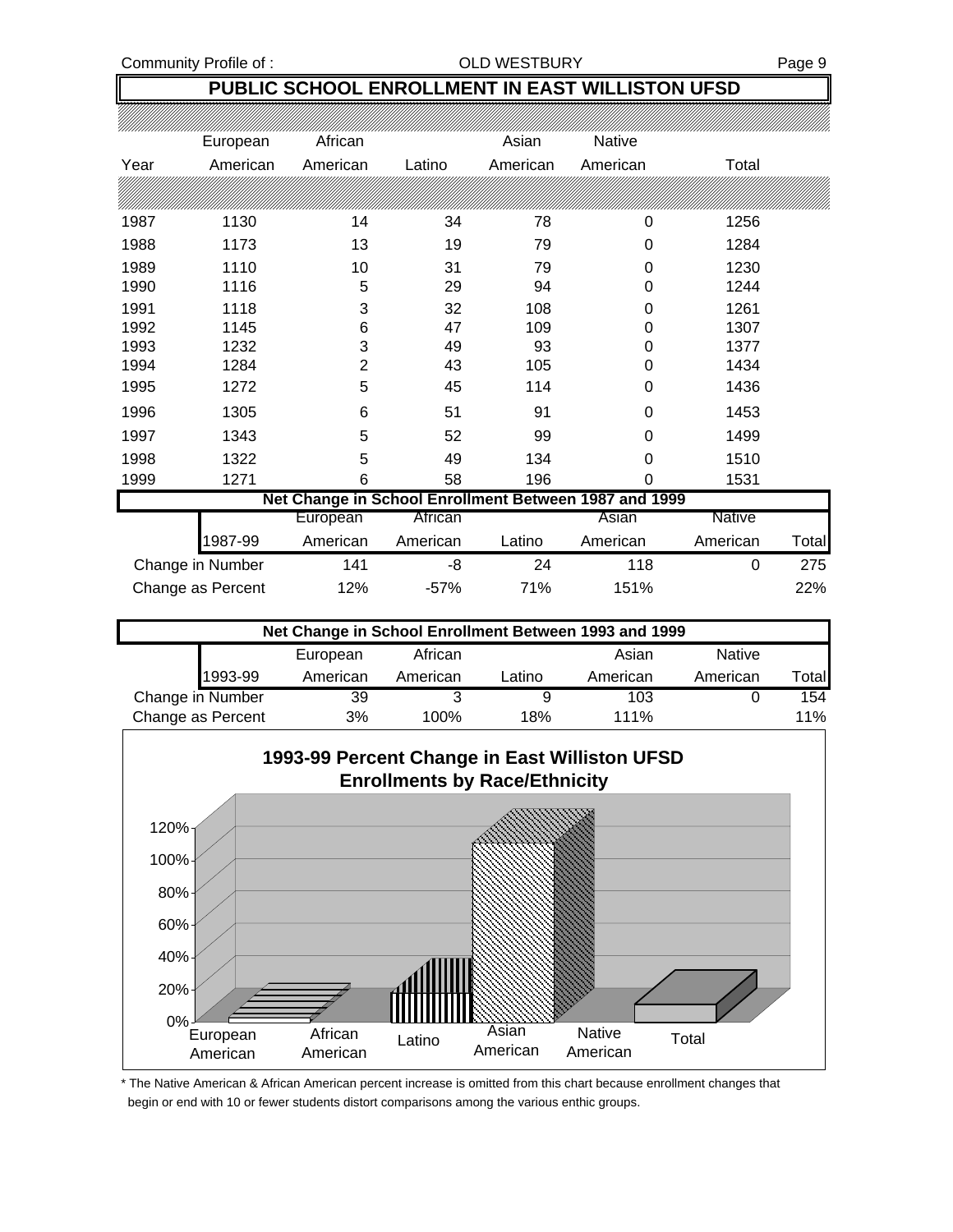Community Profile of : COLD WESTBURY Page 9

### **PUBLIC SCHOOL ENROLLMENT IN EAST WILLISTON UFSD**

|      | European          | African        |          | Asian    | <b>Native</b>                                         |          |       |
|------|-------------------|----------------|----------|----------|-------------------------------------------------------|----------|-------|
| Year | American          | American       | Latino   | American | American                                              | Total    |       |
|      |                   |                |          |          |                                                       |          |       |
| 1987 | 1130              | 14             | 34       | 78       | 0                                                     | 1256     |       |
| 1988 | 1173              | 13             | 19       | 79       | 0                                                     | 1284     |       |
| 1989 | 1110              | 10             | 31       | 79       | 0                                                     | 1230     |       |
| 1990 | 1116              | 5              | 29       | 94       | 0                                                     | 1244     |       |
| 1991 | 1118              | 3              | 32       | 108      | 0                                                     | 1261     |       |
| 1992 | 1145              | 6              | 47       | 109      | 0                                                     | 1307     |       |
| 1993 | 1232              | 3              | 49       | 93       | 0                                                     | 1377     |       |
| 1994 | 1284              | $\overline{2}$ | 43       | 105      | 0                                                     | 1434     |       |
| 1995 | 1272              | 5              | 45       | 114      | 0                                                     | 1436     |       |
| 1996 | 1305              | 6              | 51       | 91       | 0                                                     | 1453     |       |
| 1997 | 1343              | 5              | 52       | 99       | 0                                                     | 1499     |       |
| 1998 | 1322              | 5              | 49       | 134      | 0                                                     | 1510     |       |
| 1999 | 1271              | 6              | 58       | 196      | 0                                                     | 1531     |       |
|      |                   |                |          |          | Net Change in School Enrollment Between 1987 and 1999 |          |       |
|      |                   | European       | African  |          | Asian                                                 | Native   |       |
|      | 1987-99           | American       | American | Latino   | American                                              | American | Total |
|      | Change in Number  | 141            | -8       | 24       | 118                                                   | $\Omega$ | 275   |
|      | Change as Percent | 12%            | $-57%$   | 71%      | 151%                                                  |          | 22%   |

| Net Change in School Enrollment Between 1993 and 1999 |          |          |        |          |               |       |  |  |  |
|-------------------------------------------------------|----------|----------|--------|----------|---------------|-------|--|--|--|
|                                                       | European | African  |        | Asian    | <b>Native</b> |       |  |  |  |
| 1993-99                                               | American | American | Latino | American | American      | Total |  |  |  |
| Change in Number                                      | 39       |          |        | 103      |               | 154   |  |  |  |
| Change as Percent                                     | 3%       | 100%     | 18%    | 111%     |               | 11%   |  |  |  |



\* The Native American & African American percent increase is omitted from this chart because enrollment changes that begin or end with 10 or fewer students distort comparisons among the various enthic groups.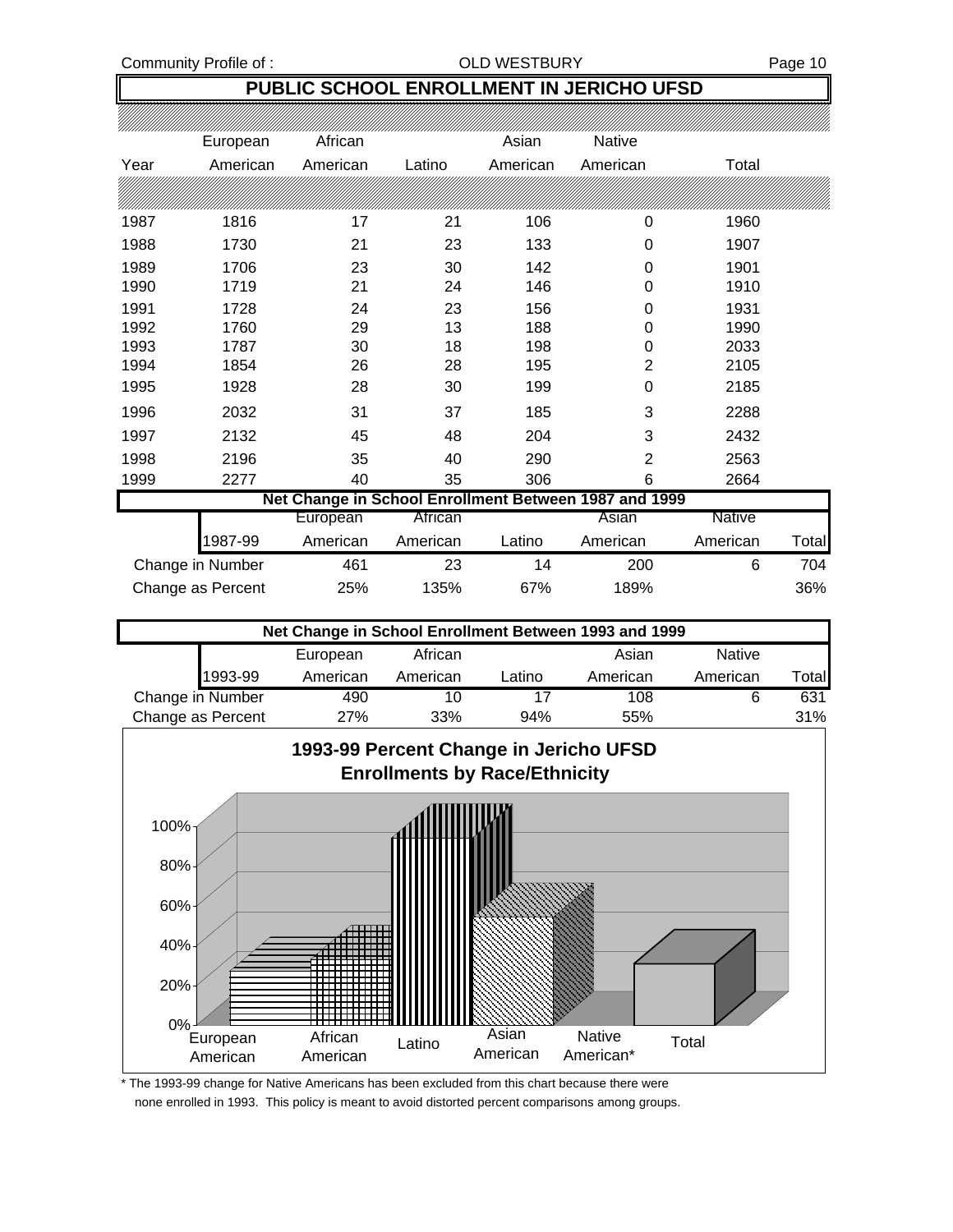Community Profile of : COLD WESTBURY Page 10

### **PUBLIC SCHOOL ENROLLMENT IN JERICHO UFSD**

|      | European          | African  |          | Asian    | Native                                                |               |       |
|------|-------------------|----------|----------|----------|-------------------------------------------------------|---------------|-------|
| Year | American          | American | Latino   | American | American                                              | Total         |       |
|      |                   |          |          |          |                                                       |               |       |
| 1987 | 1816              | 17       | 21       | 106      | 0                                                     | 1960          |       |
| 1988 | 1730              | 21       | 23       | 133      | 0                                                     | 1907          |       |
| 1989 | 1706              | 23       | 30       | 142      | 0                                                     | 1901          |       |
| 1990 | 1719              | 21       | 24       | 146      | 0                                                     | 1910          |       |
| 1991 | 1728              | 24       | 23       | 156      | 0                                                     | 1931          |       |
| 1992 | 1760              | 29       | 13       | 188      | 0                                                     | 1990          |       |
| 1993 | 1787              | 30       | 18       | 198      | 0                                                     | 2033          |       |
| 1994 | 1854              | 26       | 28       | 195      | 2                                                     | 2105          |       |
| 1995 | 1928              | 28       | 30       | 199      | 0                                                     | 2185          |       |
| 1996 | 2032              | 31       | 37       | 185      | 3                                                     | 2288          |       |
| 1997 | 2132              | 45       | 48       | 204      | 3                                                     | 2432          |       |
| 1998 | 2196              | 35       | 40       | 290      | 2                                                     | 2563          |       |
| 1999 | 2277              | 40       | 35       | 306      | 6                                                     | 2664          |       |
|      |                   |          |          |          | Net Change in School Enrollment Between 1987 and 1999 |               |       |
|      |                   | European | African  |          | Asian                                                 | <b>Native</b> |       |
|      | 1987-99           | American | American | Latino   | American                                              | American      | Total |
|      | Change in Number  | 461      | 23       | 14       | 200                                                   | 6             | 704   |
|      | Change as Percent | 25%      | 135%     | 67%      | 189%                                                  |               | 36%   |

| Net Change in School Enrollment Between 1993 and 1999 |          |          |        |          |               |       |  |  |  |  |
|-------------------------------------------------------|----------|----------|--------|----------|---------------|-------|--|--|--|--|
|                                                       | European | African  |        | Asian    | <b>Native</b> |       |  |  |  |  |
| 1993-99                                               | American | American | Latino | American | American      | Total |  |  |  |  |
| Change in Number                                      | 490      | 10       | 17     | 108      |               | 631   |  |  |  |  |
| Change as Percent                                     | 27%      | 33%      | 94%    | 55%      |               | 31%   |  |  |  |  |



\* The 1993-99 change for Native Americans has been excluded from this chart because there were none enrolled in 1993. This policy is meant to avoid distorted percent comparisons among groups.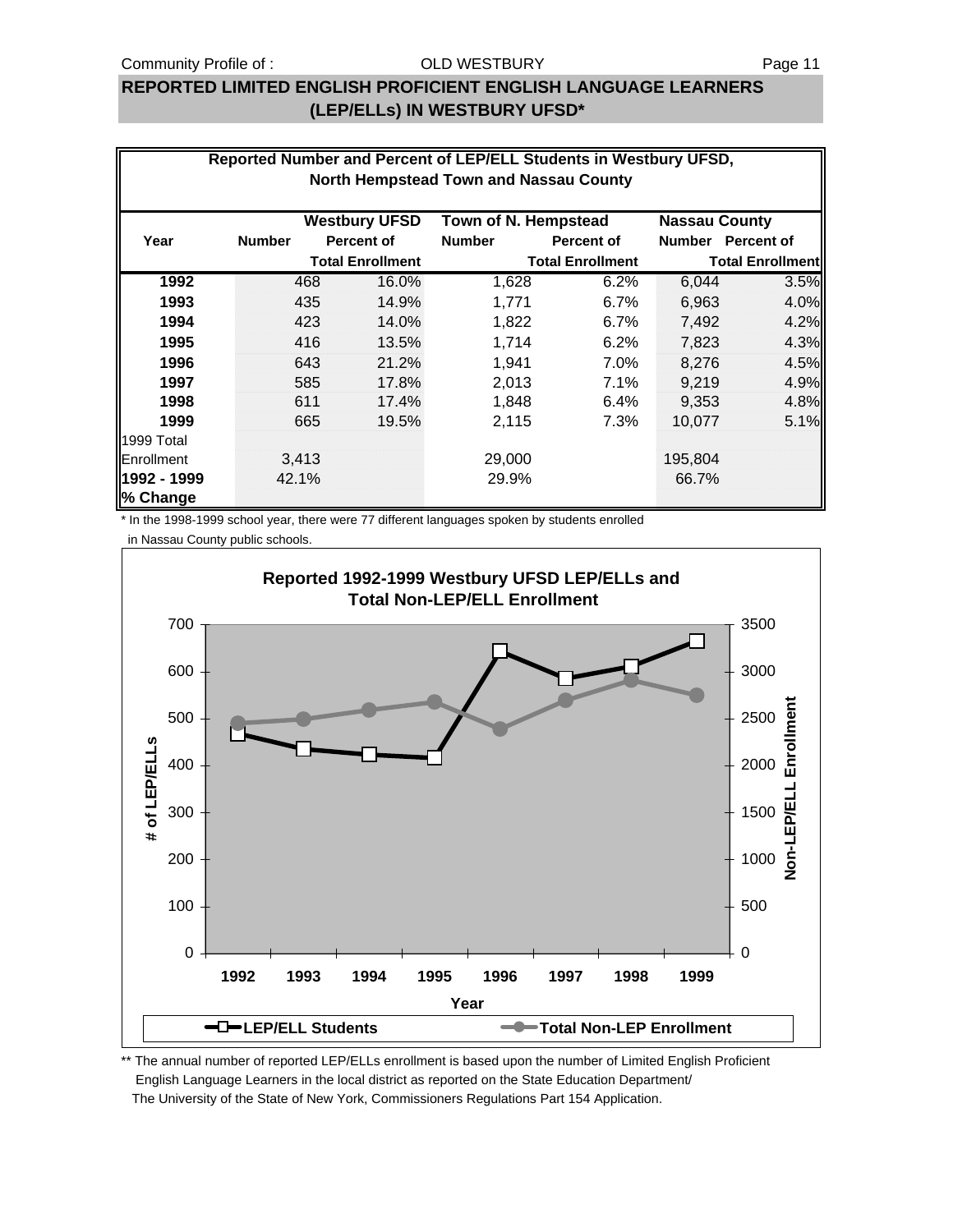#### **REPORTED LIMITED ENGLISH PROFICIENT ENGLISH LANGUAGE LEARNERS (LEP/ELLs) IN WESTBURY UFSD\***

| Reported Number and Percent of LEP/ELL Students in Westbury UFSD,<br><b>North Hempstead Town and Nassau County</b> |               |     |                         |                      |                         |                      |                         |  |
|--------------------------------------------------------------------------------------------------------------------|---------------|-----|-------------------------|----------------------|-------------------------|----------------------|-------------------------|--|
|                                                                                                                    |               |     | <b>Westbury UFSD</b>    | Town of N. Hempstead |                         | <b>Nassau County</b> |                         |  |
| Year                                                                                                               | <b>Number</b> |     | <b>Percent of</b>       | <b>Number</b>        | Percent of              |                      | Number Percent of       |  |
|                                                                                                                    |               |     | <b>Total Enrollment</b> |                      | <b>Total Enrollment</b> |                      | <b>Total Enrollment</b> |  |
| 1992                                                                                                               |               | 468 | 16.0%                   | 1,628                | 6.2%                    | 6,044                | 3.5%                    |  |
| 1993                                                                                                               |               | 435 | 14.9%                   | 1,771                | 6.7%                    | 6,963                | 4.0%                    |  |
| 1994                                                                                                               |               | 423 | 14.0%                   | 1,822                | 6.7%                    | 7,492                | 4.2%                    |  |
| 1995                                                                                                               |               | 416 | 13.5%                   | 1,714                | 6.2%                    | 7,823                | 4.3%                    |  |
| 1996                                                                                                               |               | 643 | 21.2%                   | 1,941                | 7.0%                    | 8,276                | 4.5%                    |  |
| 1997                                                                                                               |               | 585 | 17.8%                   | 2,013                | 7.1%                    | 9,219                | 4.9%                    |  |
| 1998                                                                                                               |               | 611 | 17.4%                   | 1,848                | 6.4%                    | 9,353                | 4.8%                    |  |
| 1999                                                                                                               |               | 665 | 19.5%                   | 2,115                | 7.3%                    | 10,077               | 5.1%                    |  |
| 1999 Total                                                                                                         |               |     |                         |                      |                         |                      |                         |  |
| <b>IEnrollment</b>                                                                                                 | 3,413         |     |                         | 29,000               |                         | 195,804              |                         |  |
| 1992 - 1999<br>% Change                                                                                            | 42.1%         |     |                         | 29.9%                |                         | 66.7%                |                         |  |

\* In the 1998-1999 school year, there were 77 different languages spoken by students enrolled

in Nassau County public schools.

![](_page_10_Figure_7.jpeg)

\*\* The annual number of reported LEP/ELLs enrollment is based upon the number of Limited English Proficient English Language Learners in the local district as reported on the State Education Department/ The University of the State of New York, Commissioners Regulations Part 154 Application.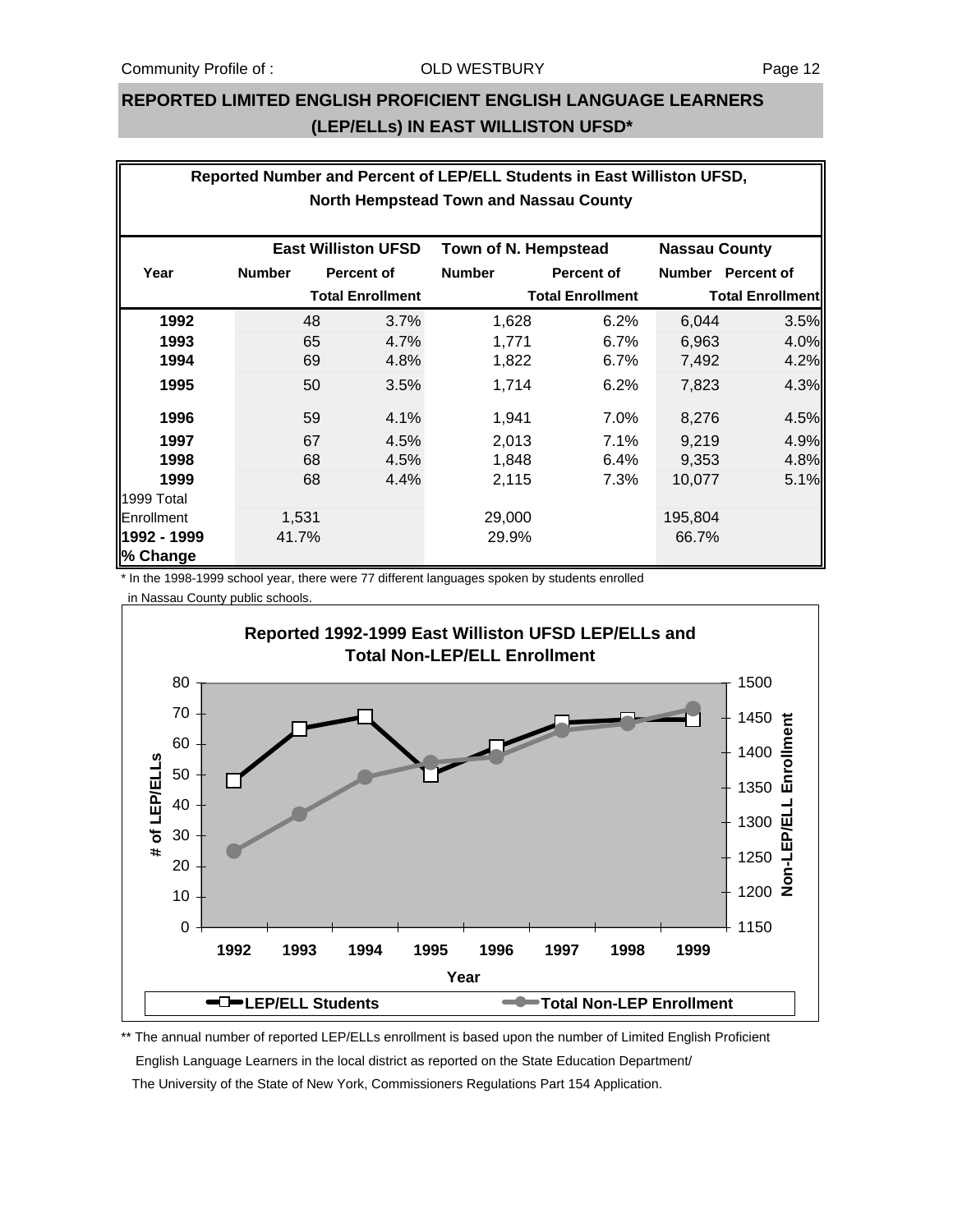#### **REPORTED LIMITED ENGLISH PROFICIENT ENGLISH LANGUAGE LEARNERS (LEP/ELLs) IN EAST WILLISTON UFSD\***

| Reported Number and Percent of LEP/ELL Students in East Williston UFSD, |               |       |                            |                      |                         |                      |                         |  |
|-------------------------------------------------------------------------|---------------|-------|----------------------------|----------------------|-------------------------|----------------------|-------------------------|--|
| <b>North Hempstead Town and Nassau County</b>                           |               |       |                            |                      |                         |                      |                         |  |
|                                                                         |               |       |                            |                      |                         |                      |                         |  |
|                                                                         |               |       | <b>East Williston UFSD</b> | Town of N. Hempstead |                         | <b>Nassau County</b> |                         |  |
| Year                                                                    | <b>Number</b> |       | <b>Percent of</b>          | <b>Number</b>        | <b>Percent of</b>       |                      | Number Percent of       |  |
|                                                                         |               |       | <b>Total Enrollment</b>    |                      | <b>Total Enrollment</b> |                      | <b>Total Enrollment</b> |  |
| 1992                                                                    |               | 48    | 3.7%                       | 1,628                | 6.2%                    | 6,044                | 3.5%                    |  |
| 1993                                                                    |               | 65    | 4.7%                       | 1,771                | 6.7%                    | 6,963                | 4.0%                    |  |
| 1994                                                                    |               | 69    | 4.8%                       | 1,822                | 6.7%                    | 7,492                | 4.2%                    |  |
| 1995                                                                    |               | 50    | 3.5%                       | 1,714                | 6.2%                    | 7,823                | 4.3%                    |  |
| 1996                                                                    |               | 59    | 4.1%                       | 1,941                | 7.0%                    | 8,276                | 4.5%                    |  |
| 1997                                                                    |               | 67    | 4.5%                       | 2,013                | 7.1%                    | 9,219                | 4.9%                    |  |
| 1998                                                                    |               | 68    | 4.5%                       | 1,848                | 6.4%                    | 9,353                | 4.8%                    |  |
| 1999                                                                    |               | 68    | 4.4%                       | 2,115                | 7.3%                    | 10,077               | 5.1%                    |  |
| 1999 Total                                                              |               |       |                            |                      |                         |                      |                         |  |
| Enrollment                                                              |               | 1,531 |                            | 29,000               |                         | 195,804              |                         |  |
| 1992 - 1999                                                             |               | 41.7% |                            | 29.9%                |                         | 66.7%                |                         |  |
| % Change                                                                |               |       |                            |                      |                         |                      |                         |  |

\* In the 1998-1999 school year, there were 77 different languages spoken by students enrolled in Nassau County public schools.

![](_page_11_Figure_6.jpeg)

\*\* The annual number of reported LEP/ELLs enrollment is based upon the number of Limited English Proficient English Language Learners in the local district as reported on the State Education Department/ The University of the State of New York, Commissioners Regulations Part 154 Application.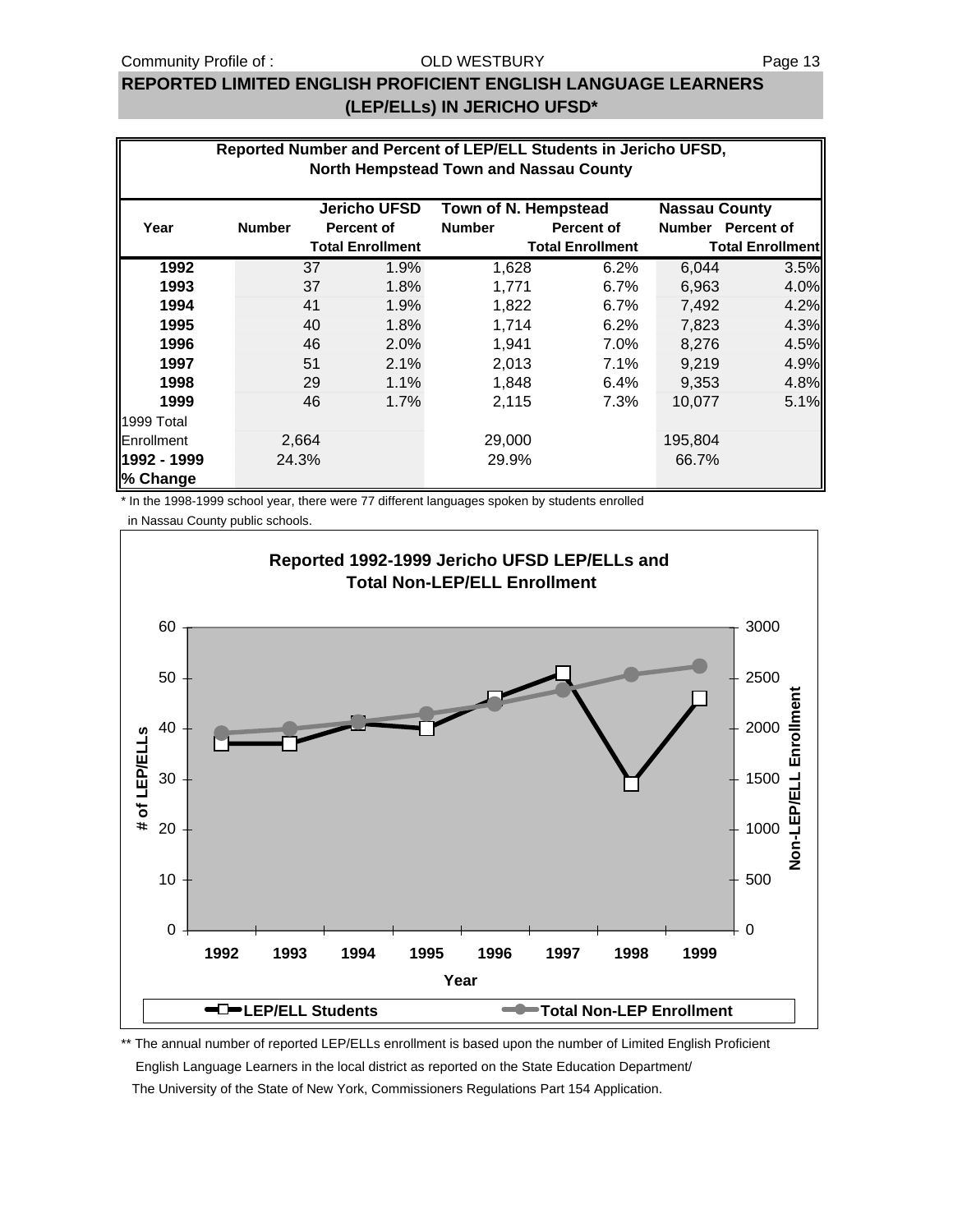#### OLD WESTBURY

### **REPORTED LIMITED ENGLISH PROFICIENT ENGLISH LANGUAGE LEARNERS (LEP/ELLs) IN JERICHO UFSD\***

|             | Reported Number and Percent of LEP/ELL Students in Jericho UFSD, |                         |                     |                                               |                         |                         |                   |  |  |
|-------------|------------------------------------------------------------------|-------------------------|---------------------|-----------------------------------------------|-------------------------|-------------------------|-------------------|--|--|
|             |                                                                  |                         |                     | <b>North Hempstead Town and Nassau County</b> |                         |                         |                   |  |  |
|             |                                                                  |                         | <b>Jericho UFSD</b> | Town of N. Hempstead                          |                         | <b>Nassau County</b>    |                   |  |  |
| Year        | <b>Number</b>                                                    |                         | <b>Percent of</b>   | <b>Number</b>                                 | <b>Percent of</b>       |                         | Number Percent of |  |  |
|             |                                                                  | <b>Total Enrollment</b> |                     |                                               | <b>Total Enrollment</b> | <b>Total Enrollment</b> |                   |  |  |
| 1992        |                                                                  | 37                      | 1.9%                | 1,628                                         | 6.2%                    | 6,044                   | 3.5%              |  |  |
| 1993        |                                                                  | 37                      | 1.8%                | 1,771                                         | 6.7%                    | 6,963                   | 4.0%              |  |  |
| 1994        |                                                                  | 41                      | 1.9%                | 1,822                                         | 6.7%                    | 7,492                   | 4.2%              |  |  |
| 1995        |                                                                  | 40                      | 1.8%                | 1,714                                         | 6.2%                    | 7,823                   | 4.3%              |  |  |
| 1996        |                                                                  | 46                      | 2.0%                | 1,941                                         | 7.0%                    | 8,276                   | 4.5%              |  |  |
| 1997        |                                                                  | 51                      | 2.1%                | 2,013                                         | 7.1%                    | 9,219                   | 4.9%              |  |  |
| 1998        |                                                                  | 29                      | 1.1%                | 1,848                                         | 6.4%                    | 9,353                   | 4.8%              |  |  |
| 1999        |                                                                  | 46                      | 1.7%                | 2,115                                         | 7.3%                    | 10,077                  | 5.1%              |  |  |
| 1999 Total  |                                                                  |                         |                     |                                               |                         |                         |                   |  |  |
| Enrollment  |                                                                  | 2,664                   |                     | 29,000                                        |                         | 195,804                 |                   |  |  |
| 1992 - 1999 |                                                                  | 24.3%                   |                     | 29.9%                                         |                         | 66.7%                   |                   |  |  |
| % Change    |                                                                  |                         |                     |                                               |                         |                         |                   |  |  |

\* In the 1998-1999 school year, there were 77 different languages spoken by students enrolled

 in Nassau County public schools. **Reported 1992-1999 Jericho UFSD LEP/ELLs and Total Non-LEP/ELL Enrollment** 3000 60 50 2500 Non-LEP/ELL Enrollment **Non-LEP/ELL Enrollment** 40 2000 # of LEP/ELLS **# of LEP/ELLs** 30 1500 20 1000 10 500 0 0 **1992 1993 1994 1995 1996 1997 1998 1999 Year CEP/ELL Students Total Non-LEP Enrollment** 

\*\* The annual number of reported LEP/ELLs enrollment is based upon the number of Limited English Proficient English Language Learners in the local district as reported on the State Education Department/ The University of the State of New York, Commissioners Regulations Part 154 Application.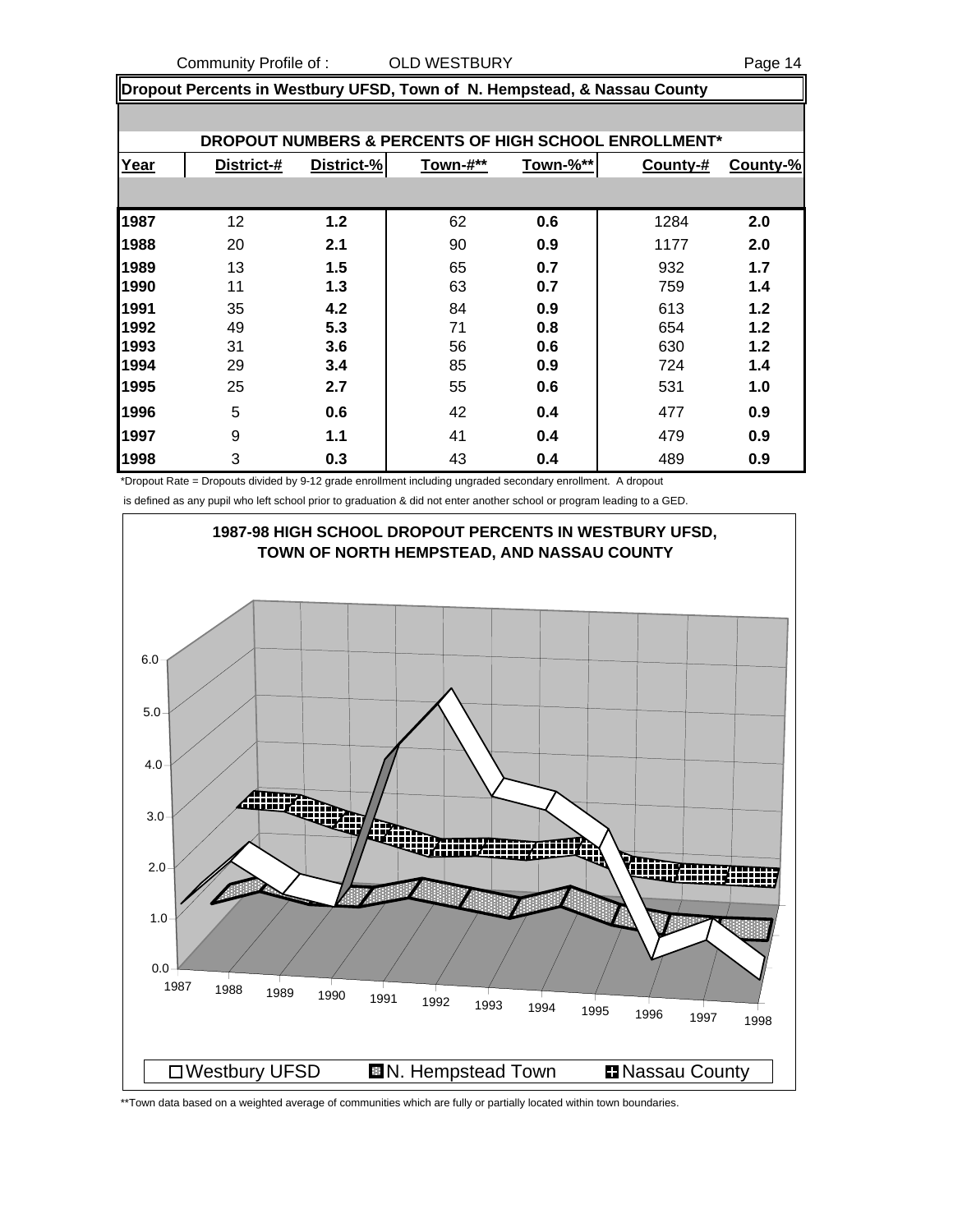Community Profile of : COLD WESTBURY Community Profile of : COLD WESTBURY

**Dropout Percents in Westbury UFSD, Town of N. Hempstead, & Nassau County**

|      | DROPOUT NUMBERS & PERCENTS OF HIGH SCHOOL ENROLLMENT* |            |          |          |          |          |  |  |  |  |
|------|-------------------------------------------------------|------------|----------|----------|----------|----------|--|--|--|--|
| Year | District-#                                            | District-% | Town-#** | Town-%** | County-# | County-% |  |  |  |  |
|      |                                                       |            |          |          |          |          |  |  |  |  |
| 1987 | 12                                                    | 1.2        | 62       | 0.6      | 1284     | 2.0      |  |  |  |  |
| 1988 | 20                                                    | 2.1        | 90       | 0.9      | 1177     | 2.0      |  |  |  |  |
| 1989 | 13                                                    | 1.5        | 65       | 0.7      | 932      | 1.7      |  |  |  |  |
| 1990 | 11                                                    | 1.3        | 63       | 0.7      | 759      | 1.4      |  |  |  |  |
| 1991 | 35                                                    | 4.2        | 84       | 0.9      | 613      | 1.2      |  |  |  |  |
| 1992 | 49                                                    | 5.3        | 71       | 0.8      | 654      | 1.2      |  |  |  |  |
| 1993 | 31                                                    | 3.6        | 56       | 0.6      | 630      | 1.2      |  |  |  |  |
| 1994 | 29                                                    | 3.4        | 85       | 0.9      | 724      | 1.4      |  |  |  |  |
| 1995 | 25                                                    | 2.7        | 55       | 0.6      | 531      | 1.0      |  |  |  |  |
| 1996 | 5                                                     | 0.6        | 42       | 0.4      | 477      | 0.9      |  |  |  |  |
| 1997 | 9                                                     | 1.1        | 41       | 0.4      | 479      | 0.9      |  |  |  |  |
| 1998 | 3                                                     | 0.3        | 43       | 0.4      | 489      | 0.9      |  |  |  |  |

\*Dropout Rate = Dropouts divided by 9-12 grade enrollment including ungraded secondary enrollment. A dropout

is defined as any pupil who left school prior to graduation & did not enter another school or program leading to a GED.

![](_page_13_Figure_7.jpeg)

\*\*Town data based on a weighted average of communities which are fully or partially located within town boundaries.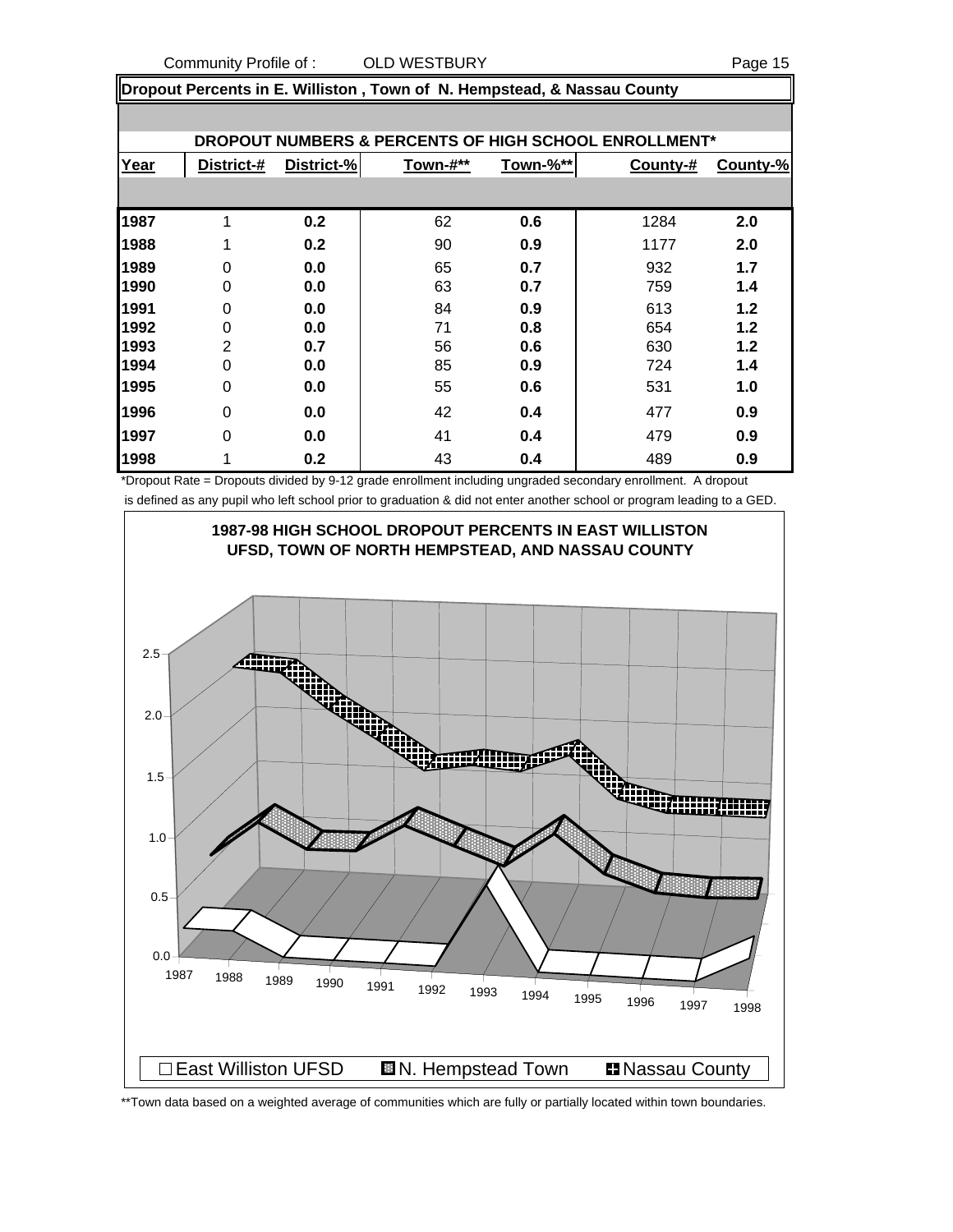Community Profile of : COLD WESTBURY Community Profile of : COLD WESTBURY

**Dropout Percents in E. Williston , Town of N. Hempstead, & Nassau County**

| DROPOUT NUMBERS & PERCENTS OF HIGH SCHOOL ENROLLMENT* |                |            |          |          |          |          |  |  |  |
|-------------------------------------------------------|----------------|------------|----------|----------|----------|----------|--|--|--|
| Year                                                  | District-#     | District-% | Town-#** | Town-%** | County-# | County-% |  |  |  |
|                                                       |                |            |          |          |          |          |  |  |  |
| 1987                                                  | 1              | 0.2        | 62       | 0.6      | 1284     | 2.0      |  |  |  |
| 1988                                                  | 1              | 0.2        | 90       | 0.9      | 1177     | 2.0      |  |  |  |
| 1989                                                  | 0              | 0.0        | 65       | 0.7      | 932      | 1.7      |  |  |  |
| 1990                                                  | 0              | 0.0        | 63       | 0.7      | 759      | 1.4      |  |  |  |
| 1991                                                  | 0              | 0.0        | 84       | 0.9      | 613      | 1.2      |  |  |  |
| 1992                                                  | 0              | 0.0        | 71       | 0.8      | 654      | 1.2      |  |  |  |
| 1993                                                  | $\overline{2}$ | 0.7        | 56       | 0.6      | 630      | 1.2      |  |  |  |
| 1994                                                  | 0              | 0.0        | 85       | 0.9      | 724      | 1.4      |  |  |  |
| 1995                                                  | 0              | 0.0        | 55       | 0.6      | 531      | 1.0      |  |  |  |
| 1996                                                  | 0              | 0.0        | 42       | 0.4      | 477      | 0.9      |  |  |  |
| 1997                                                  | 0              | 0.0        | 41       | 0.4      | 479      | 0.9      |  |  |  |
| 1998                                                  | 1              | 0.2        | 43       | 0.4      | 489      | 0.9      |  |  |  |

\*Dropout Rate = Dropouts divided by 9-12 grade enrollment including ungraded secondary enrollment. A dropout is defined as any pupil who left school prior to graduation & did not enter another school or program leading to a GED.

![](_page_14_Figure_6.jpeg)

<sup>\*\*</sup>Town data based on a weighted average of communities which are fully or partially located within town boundaries.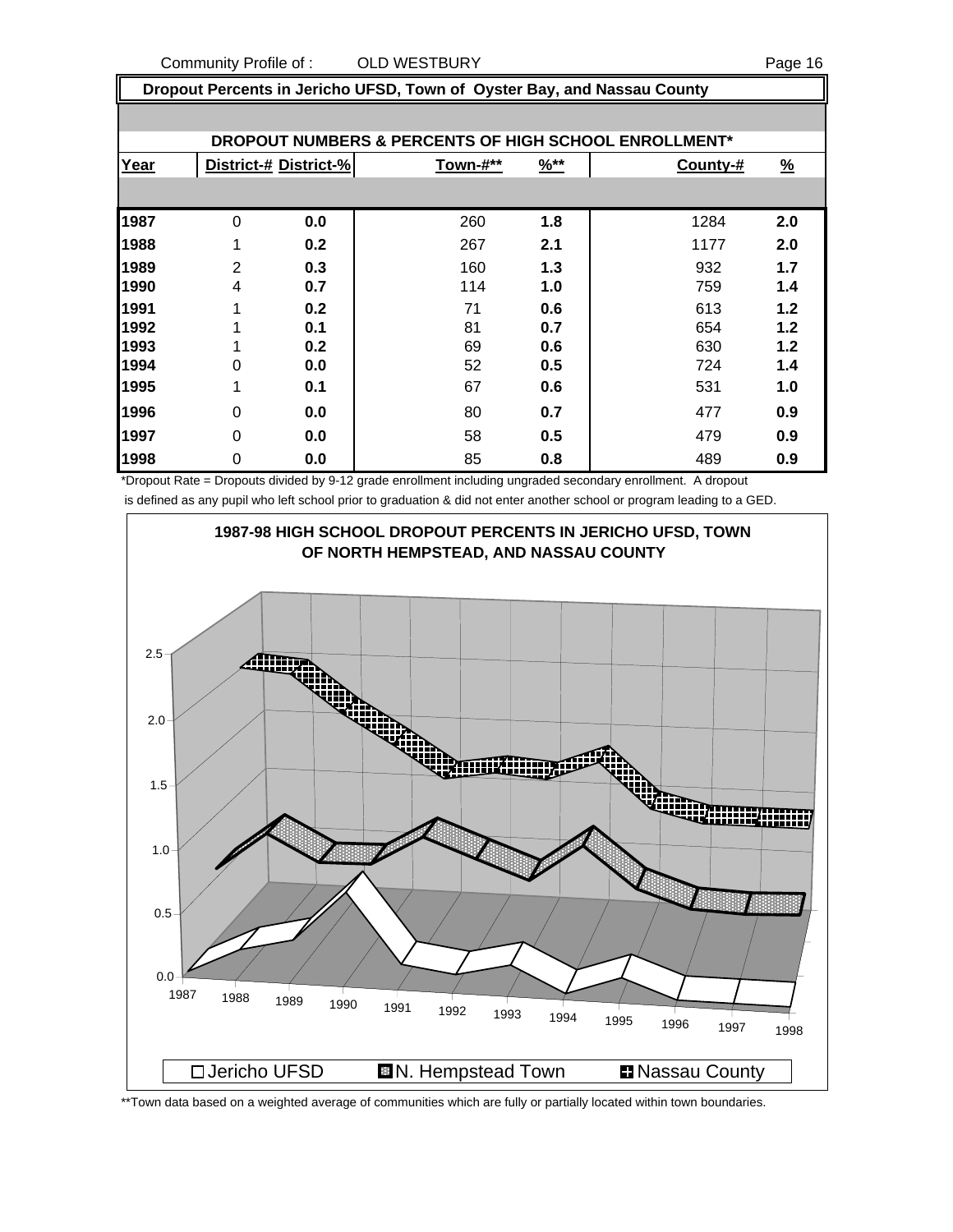**Dropout Percents in Jericho UFSD, Town of Oyster Bay, and Nassau County**

|      |                |                       | DROPOUT NUMBERS & PERCENTS OF HIGH SCHOOL ENROLLMENT* |                  |          |               |
|------|----------------|-----------------------|-------------------------------------------------------|------------------|----------|---------------|
| Year |                | District-# District-% | Town-#**                                              | $\frac{96**}{5}$ | County-# | $\frac{9}{6}$ |
|      |                |                       |                                                       |                  |          |               |
| 1987 | $\Omega$       | 0.0                   | 260                                                   | 1.8              | 1284     | 2.0           |
| 1988 | 1              | 0.2                   | 267                                                   | 2.1              | 1177     | 2.0           |
| 1989 | $\overline{2}$ | 0.3                   | 160                                                   | 1.3              | 932      | 1.7           |
| 1990 | 4              | 0.7                   | 114                                                   | 1.0              | 759      | 1.4           |
| 1991 | 1              | 0.2                   | 71                                                    | 0.6              | 613      | 1.2           |
| 1992 | 1              | 0.1                   | 81                                                    | 0.7              | 654      | 1.2           |
| 1993 | 1              | 0.2                   | 69                                                    | 0.6              | 630      | 1.2           |
| 1994 | 0              | 0.0                   | 52                                                    | 0.5              | 724      | 1.4           |
| 1995 | 1              | 0.1                   | 67                                                    | 0.6              | 531      | 1.0           |
| 1996 | $\Omega$       | 0.0                   | 80                                                    | 0.7              | 477      | 0.9           |
| 1997 | 0              | 0.0                   | 58                                                    | 0.5              | 479      | 0.9           |
| 1998 | 0              | 0.0                   | 85                                                    | 0.8              | 489      | 0.9           |

\*Dropout Rate = Dropouts divided by 9-12 grade enrollment including ungraded secondary enrollment. A dropout is defined as any pupil who left school prior to graduation & did not enter another school or program leading to a GED.

![](_page_15_Figure_5.jpeg)

\*\*Town data based on a weighted average of communities which are fully or partially located within town boundaries.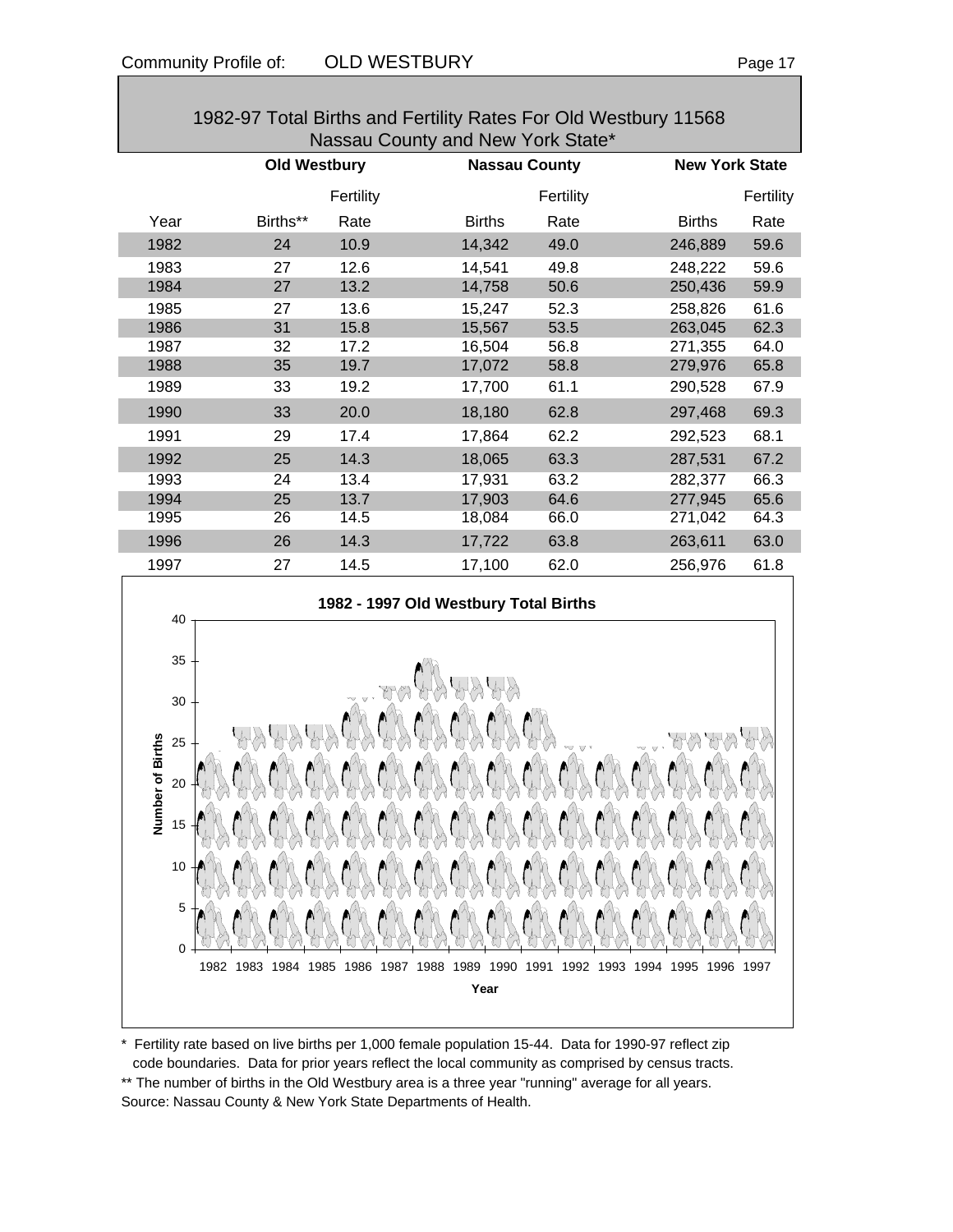| 1982-97 Total Births and Fertility Rates For Old Westbury 11568<br>Nassau County and New York State* |                     |           |                                       |           |               |                       |  |  |
|------------------------------------------------------------------------------------------------------|---------------------|-----------|---------------------------------------|-----------|---------------|-----------------------|--|--|
|                                                                                                      | <b>Old Westbury</b> |           | <b>Nassau County</b>                  |           |               | <b>New York State</b> |  |  |
|                                                                                                      |                     | Fertility |                                       | Fertility |               | Fertility             |  |  |
| Year                                                                                                 | Births**            | Rate      | <b>Births</b>                         | Rate      | <b>Births</b> | Rate                  |  |  |
| 1982                                                                                                 | 24                  | 10.9      | 14,342                                | 49.0      | 246,889       | 59.6                  |  |  |
| 1983                                                                                                 | 27                  | 12.6      | 14,541                                | 49.8      | 248,222       | 59.6                  |  |  |
| 1984                                                                                                 | 27                  | 13.2      | 14,758                                | 50.6      | 250,436       | 59.9                  |  |  |
| 1985                                                                                                 | 27                  | 13.6      | 15,247                                | 52.3      | 258,826       | 61.6                  |  |  |
| 1986                                                                                                 | 31                  | 15.8      | 15,567                                | 53.5      | 263,045       | 62.3                  |  |  |
| 1987                                                                                                 | 32                  | 17.2      | 16,504                                | 56.8      | 271,355       | 64.0                  |  |  |
| 1988                                                                                                 | 35                  | 19.7      | 17,072                                | 58.8      | 279,976       | 65.8                  |  |  |
| 1989                                                                                                 | 33                  | 19.2      | 17,700                                | 61.1      | 290,528       | 67.9                  |  |  |
| 1990                                                                                                 | 33                  | 20.0      | 18,180                                | 62.8      | 297,468       | 69.3                  |  |  |
| 1991                                                                                                 | 29                  | 17.4      | 17,864                                | 62.2      | 292,523       | 68.1                  |  |  |
| 1992                                                                                                 | 25                  | 14.3      | 18,065                                | 63.3      | 287,531       | 67.2                  |  |  |
| 1993                                                                                                 | 24                  | 13.4      | 17,931                                | 63.2      | 282,377       | 66.3                  |  |  |
| 1994                                                                                                 | 25                  | 13.7      | 17,903                                | 64.6      | 277,945       | 65.6                  |  |  |
| 1995                                                                                                 | 26                  | 14.5      | 18,084                                | 66.0      | 271,042       | 64.3                  |  |  |
| 1996                                                                                                 | 26                  | 14.3      | 17,722                                | 63.8      | 263,611       | 63.0                  |  |  |
| 1997                                                                                                 | 27                  | 14.5      | 17,100                                | 62.0      | 256,976       | 61.8                  |  |  |
| 40                                                                                                   |                     |           | 1982 - 1997 Old Westbury Total Births |           |               |                       |  |  |
| 35<br>30                                                                                             |                     |           |                                       |           |               |                       |  |  |
| Number of Births<br>25<br>20                                                                         |                     |           |                                       |           |               |                       |  |  |
| 15                                                                                                   |                     |           |                                       |           |               |                       |  |  |
| 10                                                                                                   |                     |           |                                       |           |               |                       |  |  |

1982-97 Total Births and Fertility Rates For Old Westbury 11568

\* Fertility rate based on live births per 1,000 female population 15-44. Data for 1990-97 reflect zip code boundaries. Data for prior years reflect the local community as comprised by census tracts. \*\* The number of births in the Old Westbury area is a three year "running" average for all years. Source: Nassau County & New York State Departments of Health.

1982 1983 1984 1985 1986 1987 1988 1989 1990 1991 1992 1993 1994 1995 1996 1997 **Year**

0

5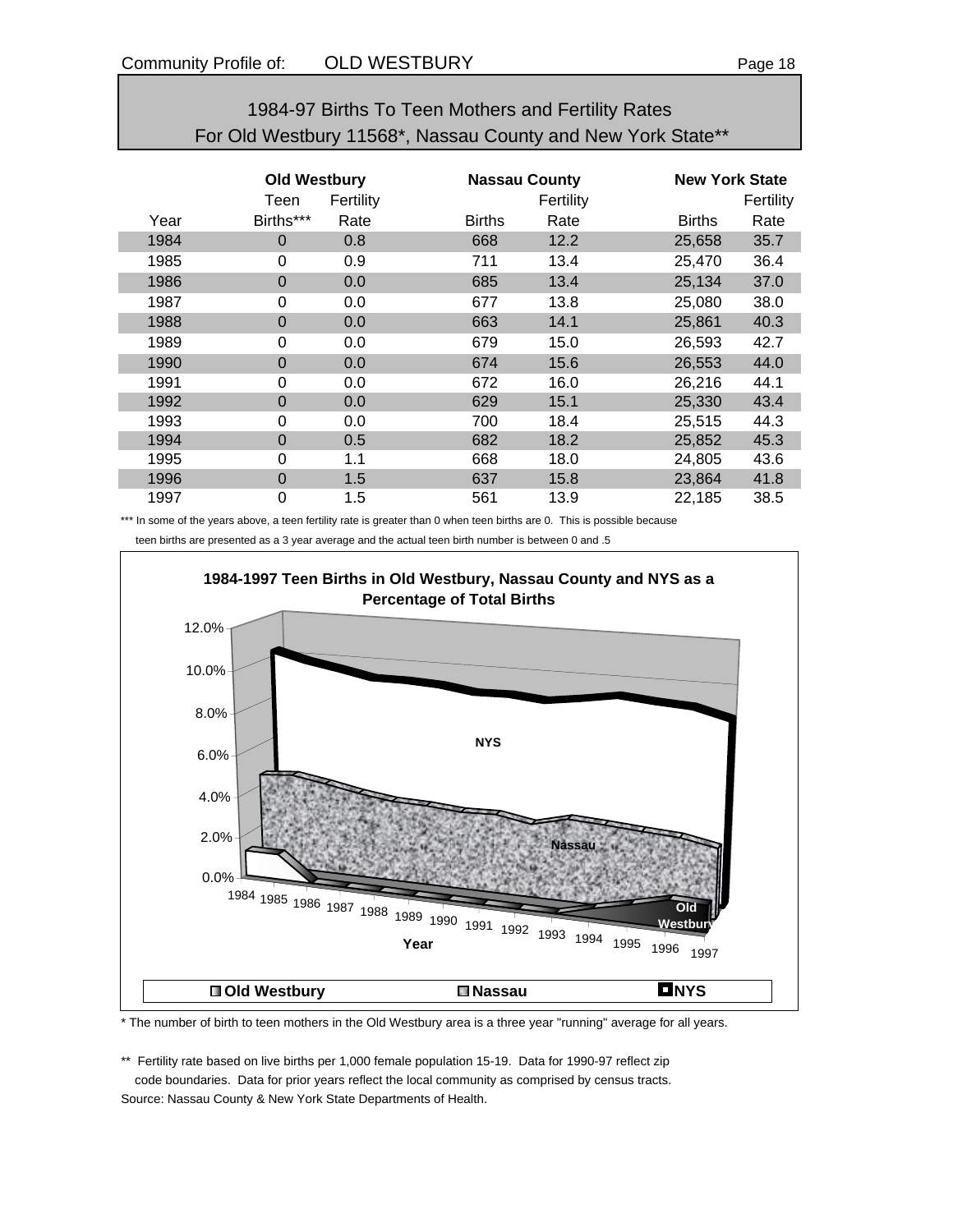| 1984-97 Births To Teen Mothers and Fertility Rates          |
|-------------------------------------------------------------|
| For Old Westbury 11568*, Nassau County and New York State** |

|      | <b>Old Westbury</b><br>Teen | Fertility |               | <b>Nassau County</b><br>Fertility | <b>New York State</b> | Fertility |
|------|-----------------------------|-----------|---------------|-----------------------------------|-----------------------|-----------|
| Year | Births***                   | Rate      | <b>Births</b> | Rate                              | <b>Births</b>         | Rate      |
| 1984 | $\Omega$                    | 0.8       | 668           | 12.2                              | 25,658                | 35.7      |
| 1985 | 0                           | 0.9       | 711           | 13.4                              | 25,470                | 36.4      |
| 1986 | $\Omega$                    | 0.0       | 685           | 13.4                              | 25,134                | 37.0      |
| 1987 | 0                           | 0.0       | 677           | 13.8                              | 25,080                | 38.0      |
| 1988 | $\mathbf 0$                 | 0.0       | 663           | 14.1                              | 25,861                | 40.3      |
| 1989 | 0                           | 0.0       | 679           | 15.0                              | 26,593                | 42.7      |
| 1990 | $\mathbf 0$                 | 0.0       | 674           | 15.6                              | 26,553                | 44.0      |
| 1991 | 0                           | 0.0       | 672           | 16.0                              | 26,216                | 44.1      |
| 1992 | $\Omega$                    | 0.0       | 629           | 15.1                              | 25,330                | 43.4      |
| 1993 | 0                           | 0.0       | 700           | 18.4                              | 25,515                | 44.3      |
| 1994 | $\Omega$                    | 0.5       | 682           | 18.2                              | 25,852                | 45.3      |
| 1995 | 0                           | 1.1       | 668           | 18.0                              | 24,805                | 43.6      |
| 1996 | $\Omega$                    | 1.5       | 637           | 15.8                              | 23,864                | 41.8      |
| 1997 | 0                           | 1.5       | 561           | 13.9                              | 22,185                | 38.5      |

\*\*\* In some of the years above, a teen fertility rate is greater than 0 when teen births are 0. This is possible because teen births are presented as a 3 year average and the actual teen birth number is between 0 and .5

![](_page_17_Figure_6.jpeg)

\* The number of birth to teen mothers in the Old Westbury area is a three year "running" average for all years.

\*\* Fertility rate based on live births per 1,000 female population 15-19. Data for 1990-97 reflect zip code boundaries. Data for prior years reflect the local community as comprised by census tracts. Source: Nassau County & New York State Departments of Health.